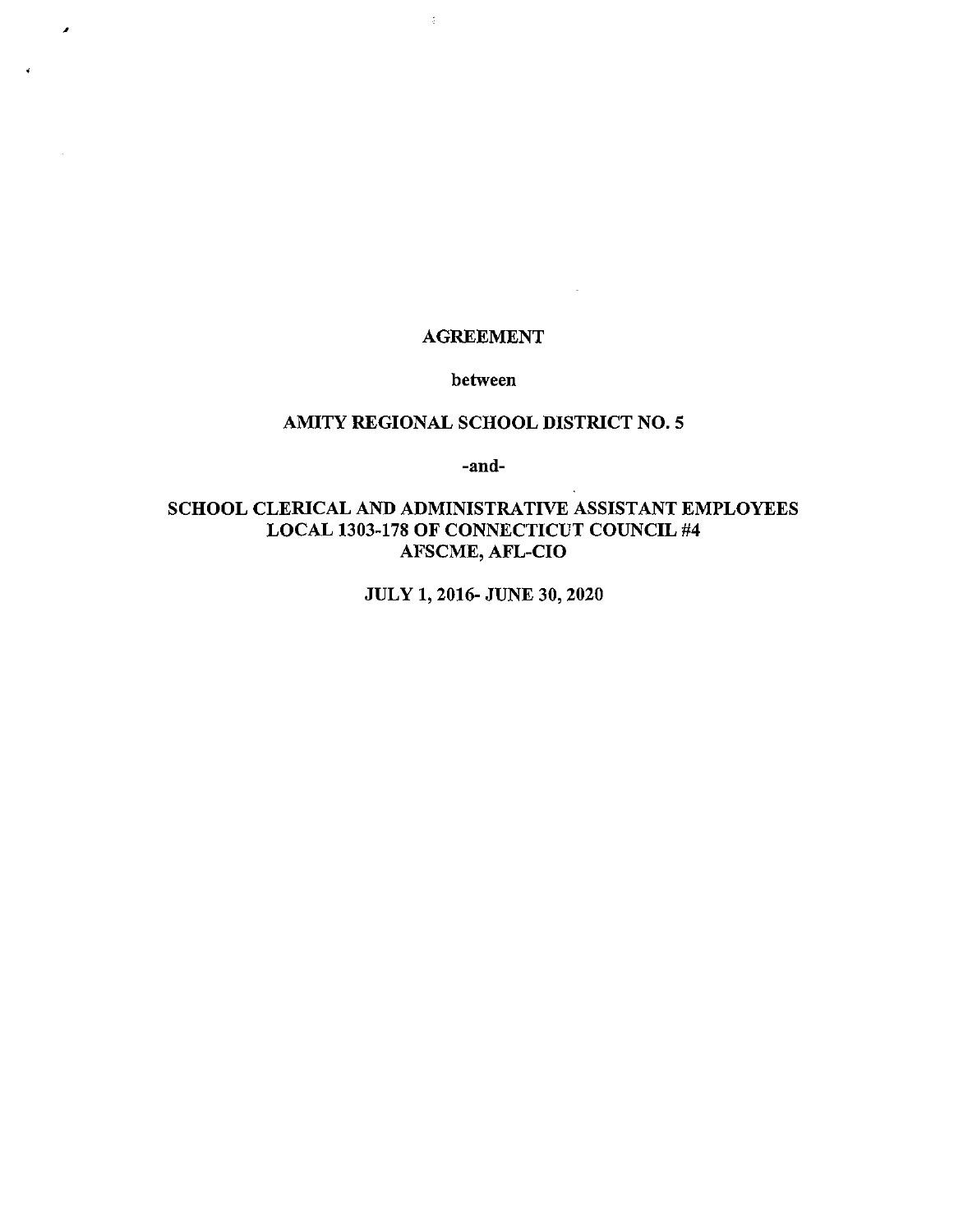# AGREEMENT

 $\sim 10^{-11}$ 

 $\frac{1}{4}$ 

 $\lambda$ 

between

# AMITY REGIONAL SCHOOL DISTRICT NO.5

-and-

# SCHOOL CLERICAL AND ADMINISTRATIVE ASSISTANT EMPLOYEES LOCAL 1303-178 OF CONNECTICUT COUNCIL #4 AFSCME, AFL-CIO

JULY 1, 2016- JUNE 30, 2020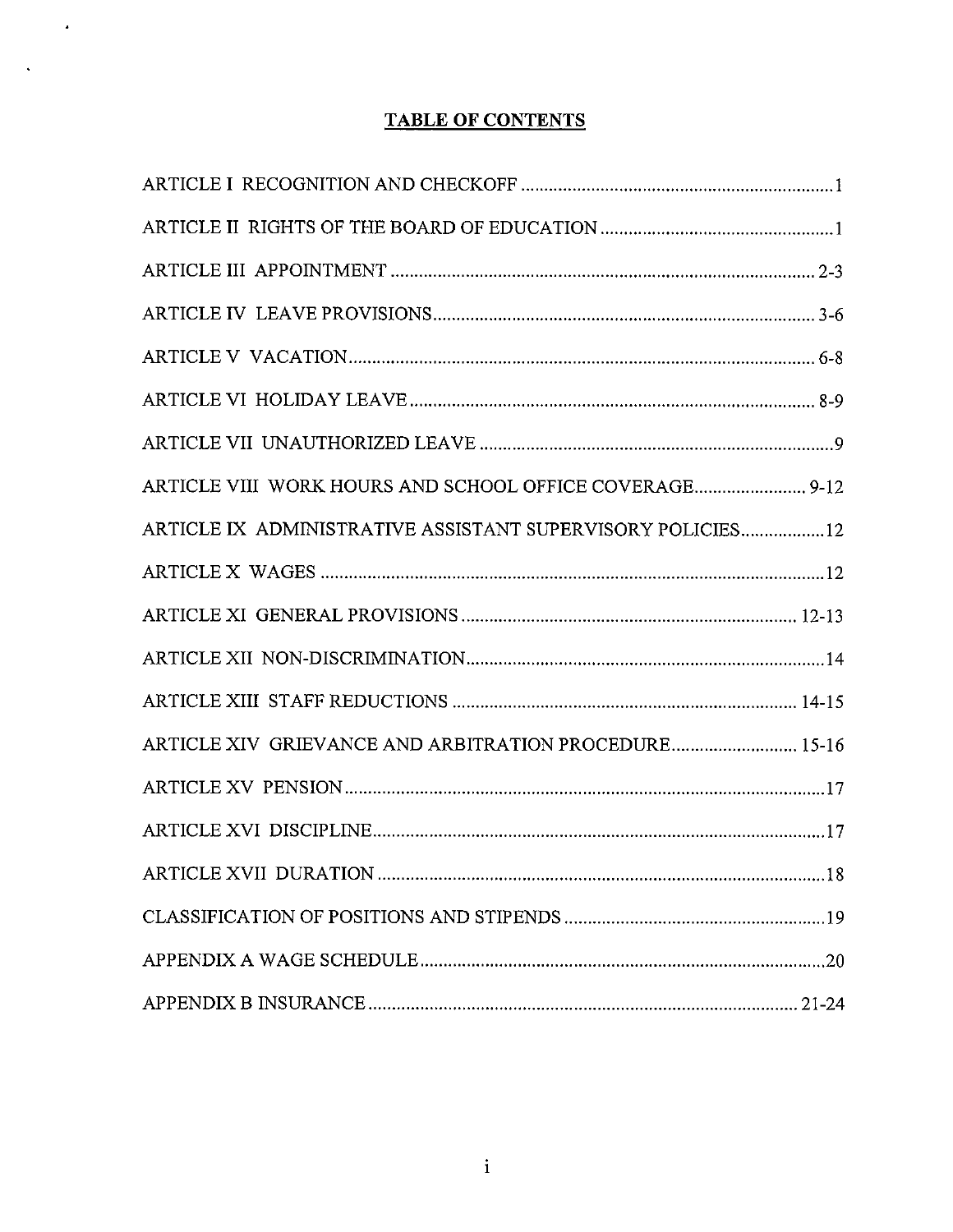# **TABLE OF CONTENTS**

 $\sim 40\%$ 

 $\sim 10^{-10}$ 

| ARTICLE VIII WORK HOURS AND SCHOOL OFFICE COVERAGE 9-12    |
|------------------------------------------------------------|
| ARTICLE IX ADMINISTRATIVE ASSISTANT SUPERVISORY POLICIES12 |
|                                                            |
|                                                            |
|                                                            |
|                                                            |
| ARTICLE XIV GRIEVANCE AND ARBITRATION PROCEDURE 15-16      |
|                                                            |
|                                                            |
|                                                            |
|                                                            |
|                                                            |
|                                                            |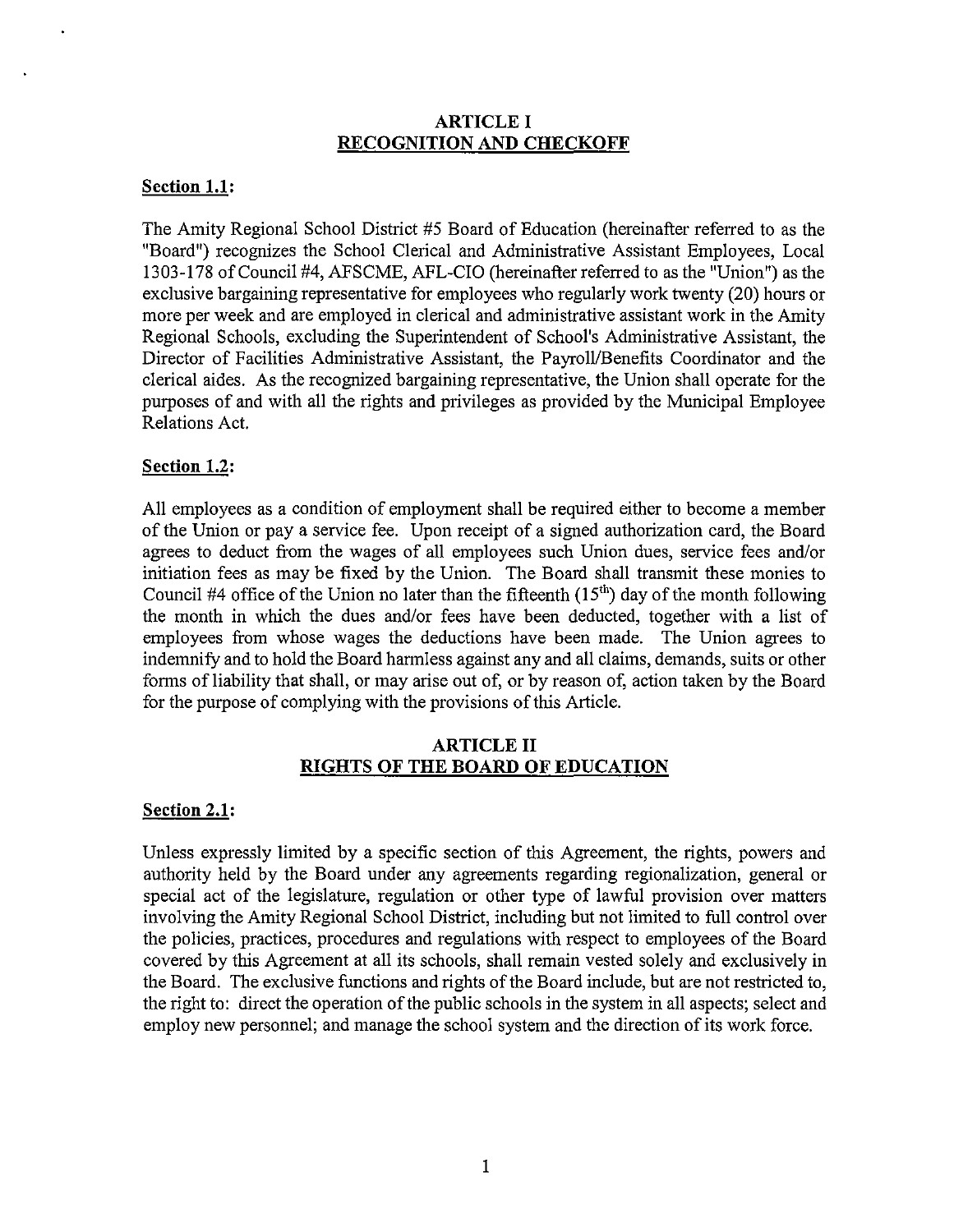### ARTICLE I **RECOGNITION AND CHECKOFF**

# **Section 1.1:**

The Amity Regional School District #5 Board of Education (hereinafter referred to as the "Board") recognizes the School Clerical and Administrative Assistant Employees, Local 1303-178 of Council #4, AFSCME, AFL-CIO (hereinafter referred to as the "Union") as the exclusive bargaining representative for employees who regularly work twenty (20) hours or more per week and are employed in clerical and administrative assistant work in the Amity Regional Schools, excluding the Superintendent of School's Administrative Assistant, the Director of Facilities Administrative Assistant, the Payroll/Benefits Coordinator and the clerical aides. As the recognized bargaining representative, the Union shall operate for the purposes of and with all the rights and privileges as provided by the Municipal Employee Relations Act.

### **Section 1.2:**

**All** employees as a condition of employment shall be required either to become a member of the Union or pay a service fee. Upon receipt of a signed authorization card, the Board agrees to deduct from the wages of all employees such Union dues, service fees and/or initiation fees as may be fixed by the Union. The Board shall transmit these monies to Council #4 office of the Union no later than the fifteenth  $(15<sup>th</sup>)$  day of the month following the month in which the dues and/or fees have been deducted, together with a list of employees from whose wages the deductions have been made. The Union agrees to indemnify and to hold the Board harmless against any and all claims, demands, suits or other forms of liability that shall, or may arise out of, or by reason of, action taken by the Board for the purpose of complying with the provisions of this Article.

#### **ARTICLE II RIGHTS OF THE BOARD OF EDUCATION**

#### **Section 2.1:**

Unless expressly limited by a specific section of this Agreement, the rights, powers and authority held by the Board under any agreements regarding regionalization, general or special act of the legislature, regulation or other type of lawful provision over matters involving the Amity Regional School District, including but not limited to full control over the policies, practices, procedures and regulations with respect to employees of the Board covered by this Agreement at all its schools, shall remain vested solely and exclusively in the Board. The exclusive functions and rights of the Board include, but are not restricted to, the right to: direct the operation of the public schools in the system in all aspects; select and employ new personnel; and manage the school system and the direction of its work force.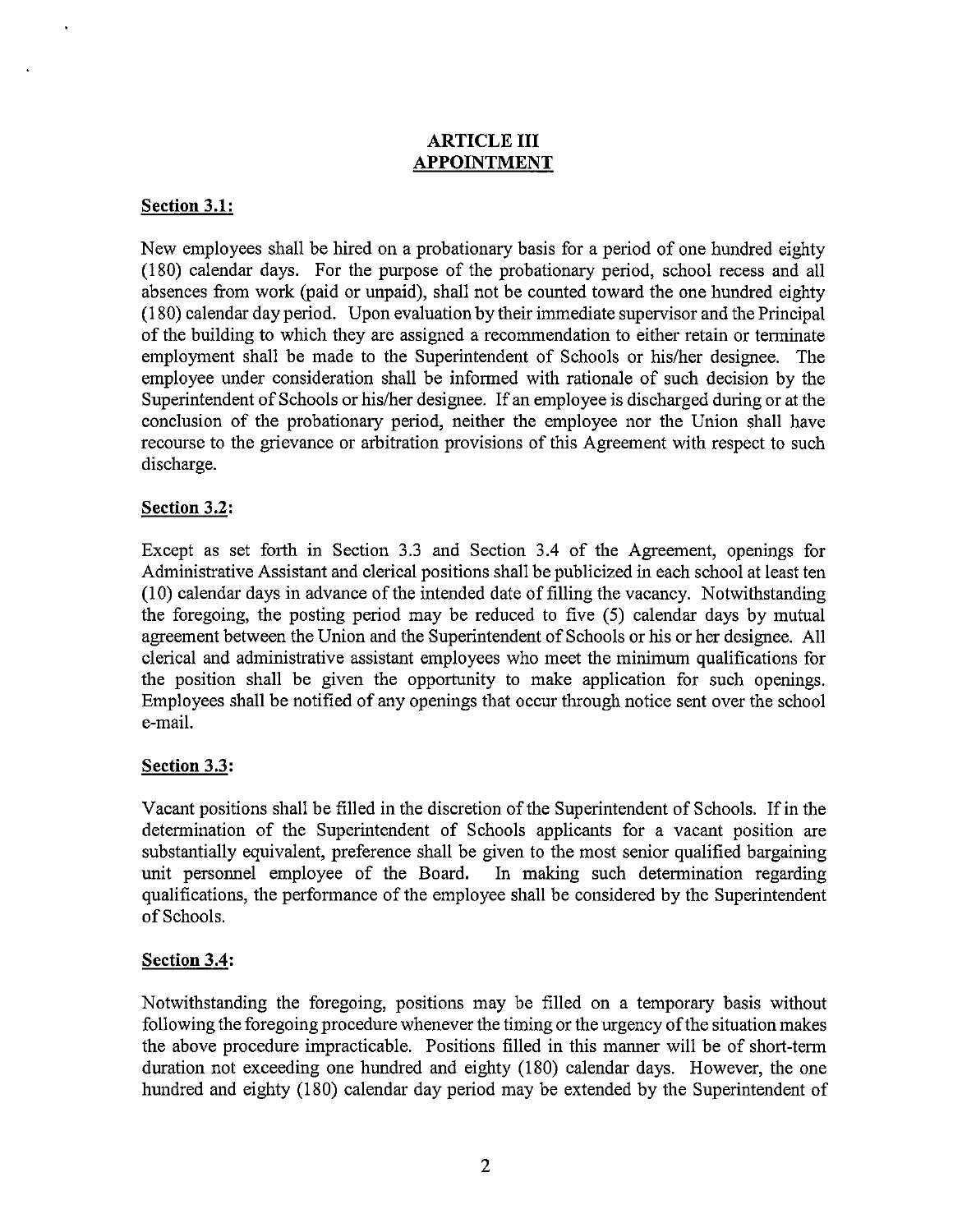# ARTICLE III **APPOINTMENT**

# **Section 3.1:**

New employees shall be hired on a probationary basis for a period of one hundred eighty (180) calendar days. For the purpose of the probationary period, school recess and all absences from work (paid or unpaid), shall not be counted toward the one hundred eighty (180) calendar day period. Upon evaluation by their immediate supervisor and the Principal of the building to which they are assigned a recommendation to either retain or terminate employment shall be made to the Superintendent of Schools or his/her designee. The employee under consideration shall be informed with rationale of such decision by the Superintendent of Schools or his/her designee. If an employee is discharged during or at the conclusion of the probationary period, neither the employee nor the Union shall have recourse to the grievance or arbitration provisions of this Agreement with respect to such discharge.

# **Section 3.2:**

Except as set forth in Section 3.3 and Section 3.4 of the Agreement, openings for Administrative Assistant and clerical positions shall be publicized in each school at least ten (10) calendar days in advance of the intended date of filling the vacancy. Notwithstanding the foregoing, the posting period may be reduced to five (5) calendar days by mutual agreement between the Union and the Superintendent of Schools or his or her designee. All clerical and administrative assistant employees who meet the minimum qualifications for the position shall be given the opportunity to make application for such openings. Employees shall be notified of any openings that occur through notice sent over the school e-mail.

# **Section 3.3:**

Vacant positions shall be filled in the discretion of the Superintendent of Schools. If in the determination of the Superintendent of Schools applicants for a vacant position are substantially equivalent, preference shall be given to the most senior qualified bargaining unit personnel employee of the Board. In making such determination regarding qualifications, the performance of the employee shall be considered by the Superintendent of Schools.

# **Section 3.4:**

Notwithstanding the foregoing, positions may be filled on a temporary basis without following the foregoing procedure whenever the timing or the urgency of the situation makes the above procedure impracticable. Positions filled in this manner will be of short-term duration not exceeding one hundred and eighty (180) calendar days. However, the one hundred and eighty (180) calendar day period may be extended by the Superintendent of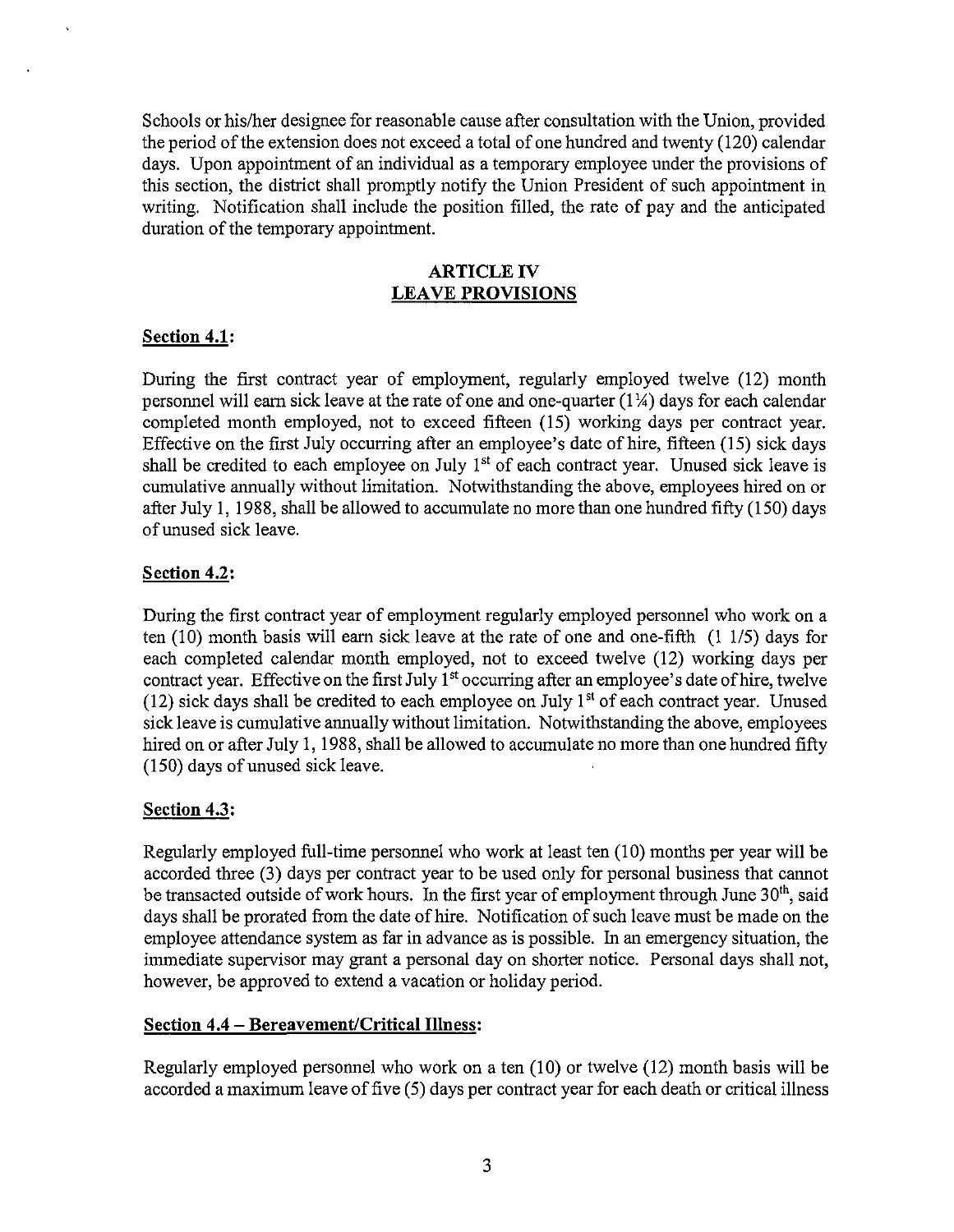Schools or his/her designee for reasonable cause after consultation with the Union, provided the period of the extension does not exceed a total of one hundred and twenty (120) calendar days. Upon appointment of an individual as a temporary employee under the provisions of this section, the district shall promptly notify the Union President of such appointment in writing. Notification shall include the position filled, the rate of pay and the anticipated duration of the temporary appointment.

# ARTICLE IV **LEAVE PROVISIONS**

### **Section 4.1:**

During the first contract year of employment, regularly employed twelve (12) month personnel will earn sick leave at the rate of one and one-quarter  $(1\frac{1}{4})$  days for each calendar completed month employed, not to exceed fifteen (IS) working days per contract year. Effective on the first July occurring after an employee's date of hire, fifteen (15) sick days shall be credited to each employee on July  $1<sup>st</sup>$  of each contract year. Unused sick leave is cumulative armually without limitation. Notwithstanding the above, employees hired on or after July 1, 1988, shall be allowed to accumulate no more than one hundred fifty (150) days of unused sick leave.

### **Section 4.2:**

During the first contract year of employment regularly employed personnel who work on a ten (10) month basis will earn sick leave at the rate of one and one-fifth (1 1/5) days for each completed calendar month employed, not to exceed twelve (12) working days per contract year. Effective on the first July  $1<sup>st</sup>$  occurring after an employee's date of hire, twelve (12) sick days shall be credited to each employee on July  $1<sup>st</sup>$  of each contract year. Unused sick leave is cumulative annually without limitation. Notwithstanding the above, employees hired on or after July 1, 1988, shall be allowed to accumulate no more than one hundred fifty (ISO) days of unused sick leave.

# **Section 4.3:**

Regularly employed full-time personnel who work at least ten (10) months per year will be accorded three (3) days per contract year to be used only for personal business that carmot be transacted outside of work hours. In the first year of employment through June  $30<sup>th</sup>$ , said days shall be prorated from the date of hire. Notification of such leave must be made on the employee attendance system as far in advance as is possible. ln an emergency situation, the immediate supervisor may grant a personal day on shorter notice. Personal days shall not, however, be approved to extend a vacation or holiday period.

# **Section 4.4 - Bereavement/Critical Illness:**

Regularly employed personnel who work on a ten (10) or twelve (12) month basis will be accorded a maximum leave of five (5) days per contract year for each death or critical illness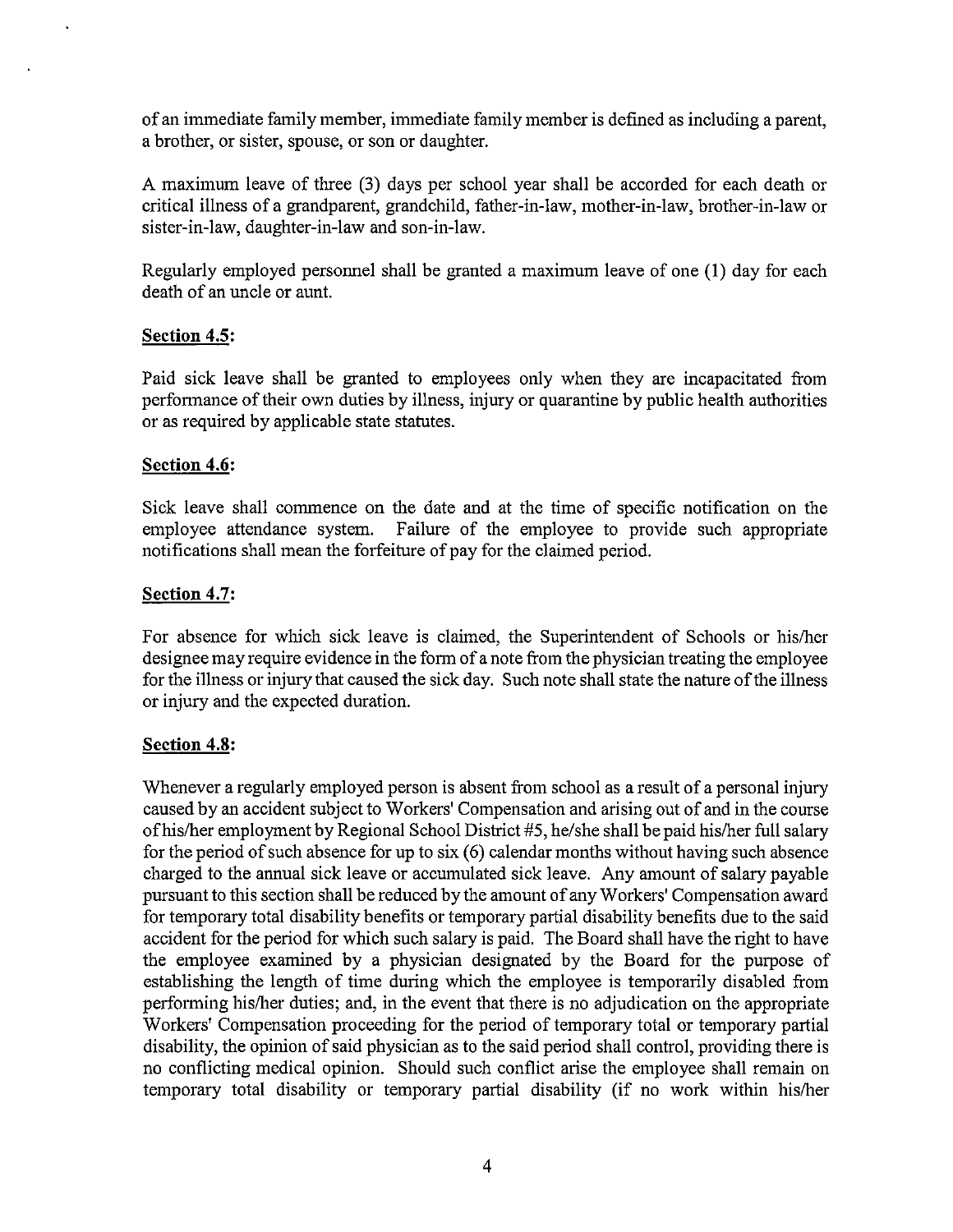of an immediate family member, innnediate family member is defined as including a parent, a brother, or sister, spouse, or son or daughter.

A maximum leave of three (3) days per school year shall be accorded for each death or critical illness of a grandparent, grandchild, father-in-law, mother-in-law, brother-in-law or sister-in-law, daughter-in-law and son-in-law.

Regularly employed personnel shall be granted a maximum leave of one (1) day for each death of an uncle or aunt.

#### **Section 4.5:**

Paid sick leave shall be granted to employees only when they are incapacitated from perfonnance of their own duties by illness, injury or quarantine by public health authorities or as required by applicable state statutes.

#### **Section 4.6:**

Sick leave shall commence on the date and at the time of specific notification on the employee attendance system. Failure of the employee to provide such appropriate notifications shall mean the forfeiture of pay for the claimed period.

#### **Section 4.7:**

For absence for which sick leave is claimed, the Superintendent of Schools or hislher designee may require evidence in the form of a note from the physician treating the employee for the illness or injury that caused the sick day. Such note shall state the nature of the illness or injury and the expected duration.

#### **Section 4.8:**

Whenever a regularly employed person is absent from school as a result of a personal injury caused by an accident subject to Workers' Compensation and arising out of and in the course ofhislher employment by Regional School District #5, he/she shall be paid hislher full salary for the period of such absence for up to six (6) calendar months without having such absence charged to the annual sick leave or accumulated sick leave. Any amount of salary payable pursuant to this section shall be reduced by the amount of any Workers' Compensation award for temporary total disability benefits or temporary partial disability benefits due to the said accident for the period for which such salary is paid. The Board shall have the right to have the employee examined by a physician designated by the Board for the purpose of establishing the length of time during which the employee is temporarily disabled from perfonning hislher duties; and, in the event that there is no adjudication on the appropriate Workers' Compensation proceeding for the period of temporary total or temporary partial disability, the opinion of said physician as to the said period shall control, providing there is no conflicting medical opinion. Should such conflict arise the employee shall remain on temporary total disability or temporary partial disability (if no work within hislher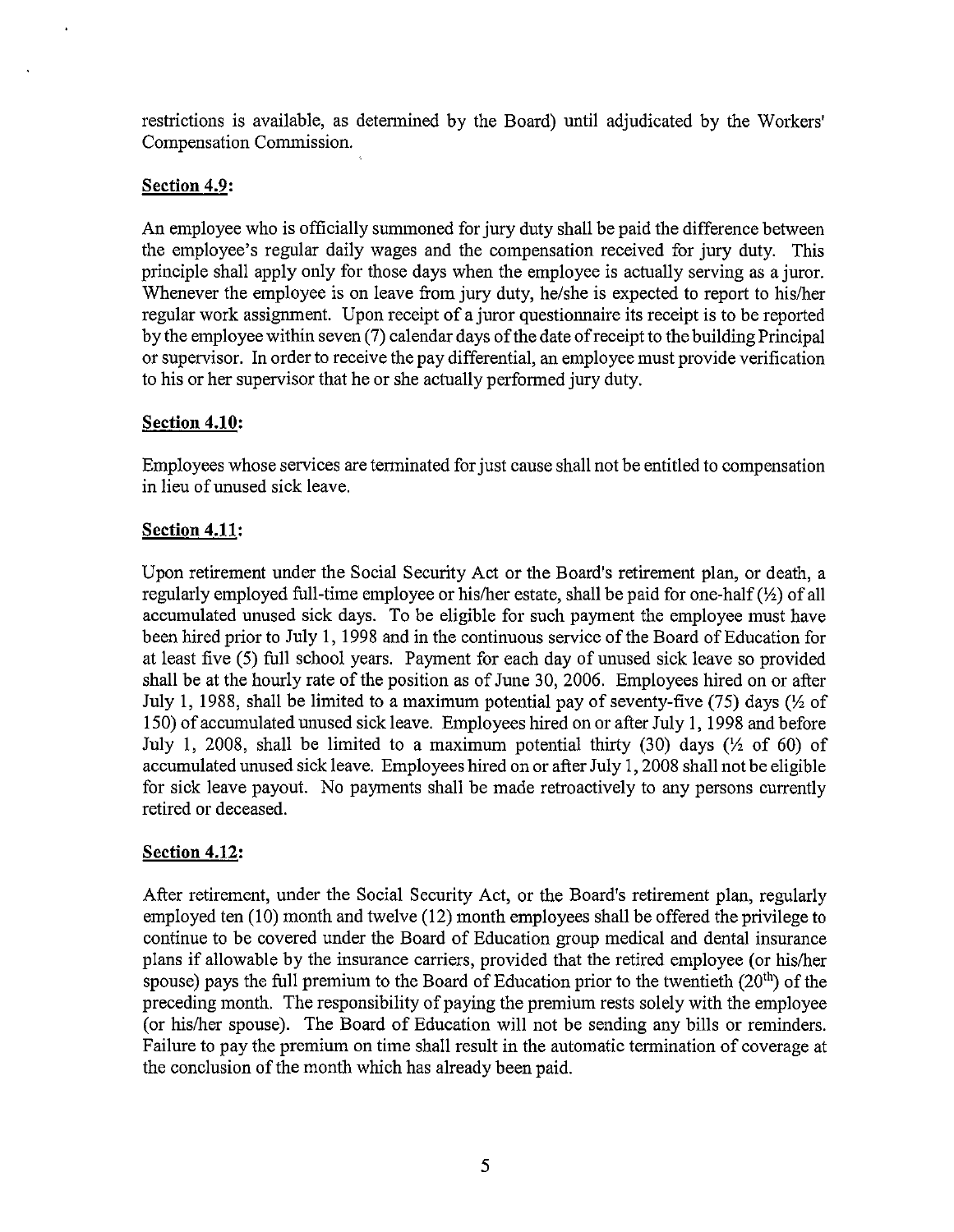restrictions is available, as detennined by the Board) until adjudicated by the Workers' Compensation Commission.

### **Section 4.9:**

An employee who is officially summoned for jury duty shall be paid the difference between the employee's regular daily wages and the compensation received for jury duty. This principle shall apply only for those days when the employee is actually serving as a juror. Whenever the employee is on leave from jury duty, he/she is expected to report to his/her regular work assignment. Upon receipt of a juror questionnaire its receipt is to be reported by the employee within seven (7) calendar days of the date of receipt to the building Principal or supervisor. In order to receive the pay differential, au employee must provide verification to his or her supervisor that he or she actually perfonned jury duty.

# **Section 4.10:**

Employees whose services are tenninated for just cause shall not be entitled to compensation in lieu of unused sick leave.

# **Section 4.11:**

Upon retirement under the Social Security Act or the Board's retirement pIau, or death, a regularly employed full-time employee or his/her estate, shall be paid for one-half  $(\frac{1}{2})$  of all accumulated unused sick days. To be eligible for such payment the employee must have been hired prior to July 1,1998 aud in the continuous service of the Board of Education for at least five (5) full school years. Payment for each day of unused sick leave so provided shall be at the hourly rate of the position as of June 30, 2006. Employees hired on or after July 1, 1988, shall be limited to a maximum potential pay of seventy-five (75) days ( $\frac{1}{2}$  of 150) of accumulated unused sick leave. Employees hired on or after July 1, 1998 and before July 1, 2008, shall be limited to a maximum potential thirty (30) days ( $\frac{1}{2}$  of 60) of accumulated unused sick leave. Employees hired on or after July 1,2008 shall not be eligible for sick leave payout. No payments shall be made retroactively to auy persons currently retired or deceased.

# **Section 4.12:**

After retirement, under the Social Security Act, or the Board's retirement plan, regularly employed ten (10) month and twelve (12) month employees shall be offered the privilege to continue to be covered under the Board of Education group medical aud dental insurance plans if allowable by the insurance carriers, provided that the retired employee (or hislher spouse) pays the full premium to the Board of Education prior to the twentieth  $(20<sup>th</sup>)$  of the preceding month. The responsibility of paying the premium rests solely with the employee (or hislher spouse). The Board of Education will not be sending any bills or reminders. Failure to pay the premium on time shall result in the automatic termination of coverage at the conclusion of the month which has already been paid.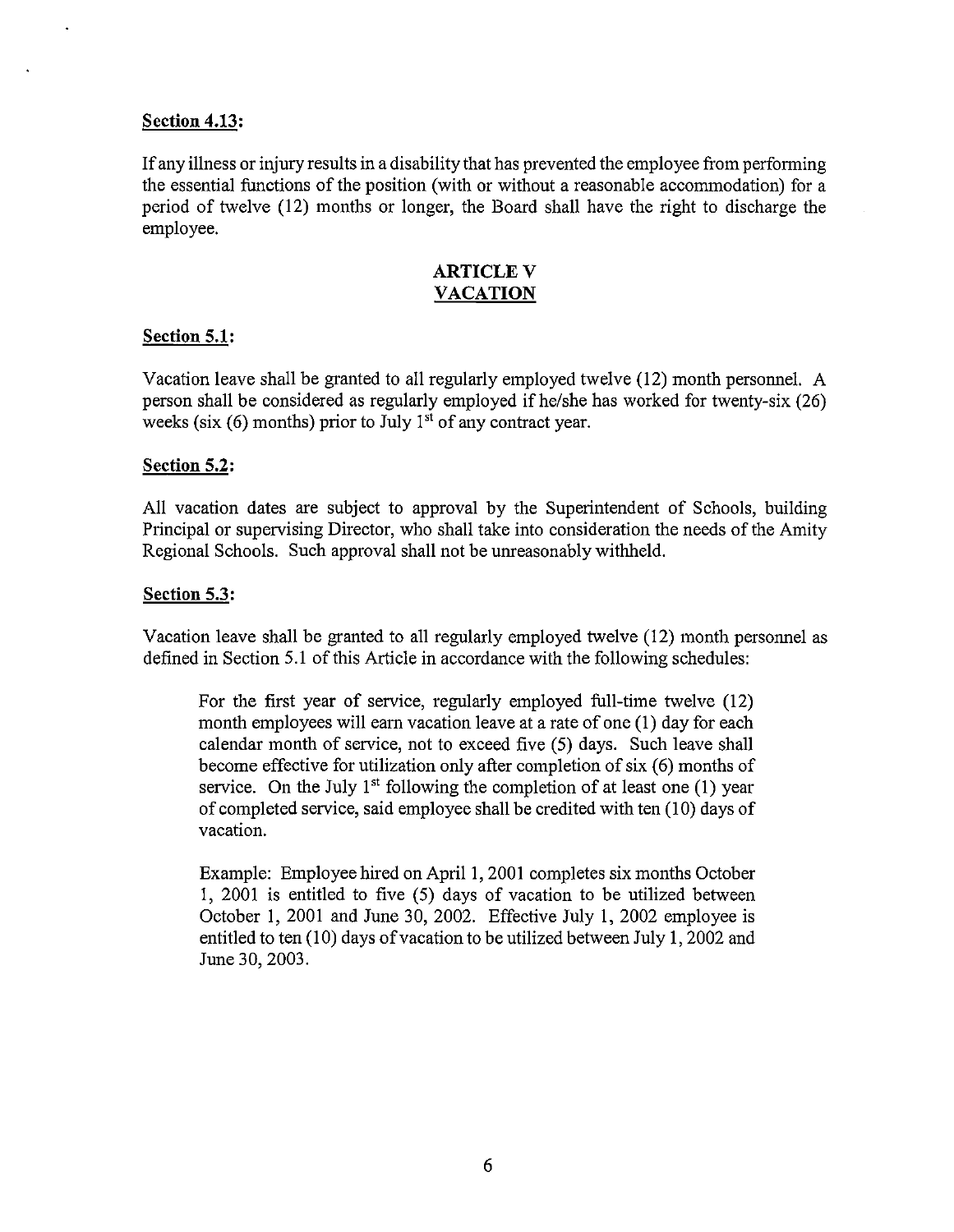#### **Section 4.13:**

If any illness or injury results in a disability that has prevented the employee from perfonning the essential functions of the position (with or without a reasonable accommodation) for a period of twelve (12) months or longer, the Board shall have the right to discharge the employee.

#### ARTICLE V **VACATION**

#### **Section 5.1:**

Vacation leave shall be granted to all regularly employed twelve (12) month personnel. A person shall be considered as regularly employed ifhe/she has worked for twenty-six (26) weeks (six  $(6)$  months) prior to July 1<sup>st</sup> of any contract year.

#### **Section 5.2:**

All vacation dates are subject to approval by the Superintendent of Schools, building Principal or supervising Director, who shall take into consideration the needs of the Amity Regional Schools. Such approval shall not be unreasonably withheld.

#### **Section 5.3:**

Vacation leave shall be granted to all regularly employed twelve (12) month personnel as defined in Section 5.1 of this Article in accordance with the following schedules:

For the first year of service, regularly employed full-time twelve (12) month employees will earn vacation leave at a rate of one (1) day for each calendar month of service, not to exceed five (5) days. Such leave shall become effective for utilization only after completion of six (6) months of service. On the July  $1<sup>st</sup>$  following the completion of at least one (1) year of completed service, said employee shall be credited with ten (10) days of vacation.

Example: Employee hired on April 1, 2001 completes six months October 1, 2001 is entitled to five (5) days of vacation to be utilized between October 1,2001 and June 30, 2002. Effective July 1, 2002 employee is entitled to ten (10) days of vacation to be utilized between July 1,2002 and June 30, 2003.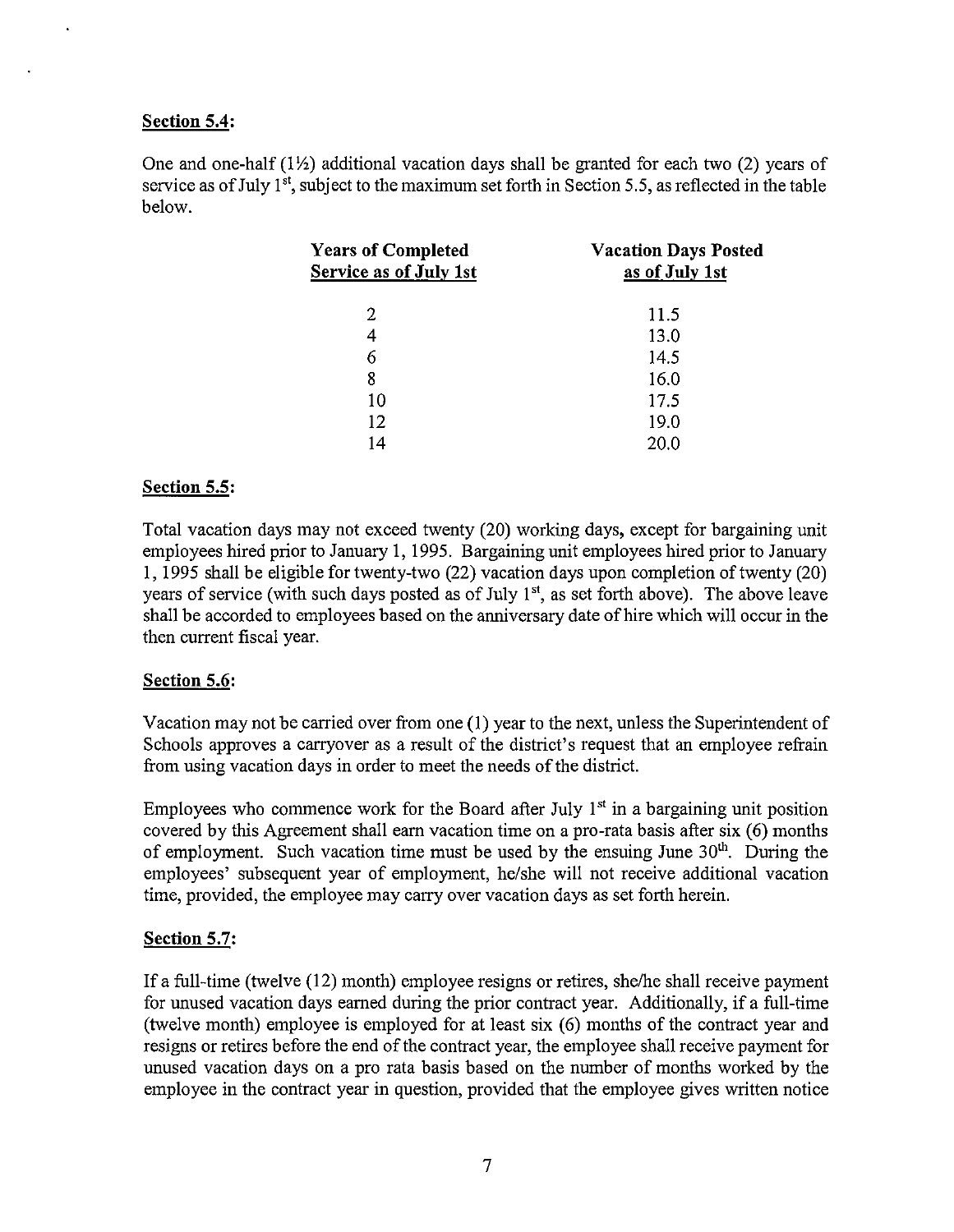### Section 5.4:

One and one-half  $(1\frac{1}{2})$  additional vacation days shall be granted for each two (2) years of service as of July  $1<sup>st</sup>$ , subject to the maximum set forth in Section 5.5, as reflected in the table below.

| <b>Years of Completed</b><br>Service as of July 1st | <b>Vacation Days Posted</b><br>as of July 1st |  |
|-----------------------------------------------------|-----------------------------------------------|--|
| 2                                                   | 11.5                                          |  |
| 4                                                   | 13.0                                          |  |
| 6                                                   | 14.5                                          |  |
| 8                                                   | 16.0                                          |  |
| 10                                                  | 17.5                                          |  |
| 12                                                  | 19.0                                          |  |
| 14                                                  | 20.0                                          |  |

### Section 5.5:

Total vacation days may not exceed twenty (20) working days, except for bargaining unit employees hired prior to January 1, 1995. Bargaining unit employees hired prior to January 1, 1995 shall be eligible for twenty-two (22) vacation days upon completion of twenty (20) years of service (with such days posted as of July  $1<sup>st</sup>$ , as set forth above). The above leave shall be accorded to employees based on the anniversary date of hire which will occur in the then current fiscal year.

#### Section 5.6:

Vacation may not be carried over from one (1) year to the next, unless the Superintendent of Schools approves a carryover as a result of the district's request that an employee refrain from using vacation days in order to meet the needs of the district.

Employees who commence work for the Board after July  $1<sup>st</sup>$  in a bargaining unit position covered by this Agreement shall earn vacation time on a pro-rata basis after six (6) months of employment. Such vacation time must be used by the ensuing June  $30<sup>th</sup>$ . During the employees' subsequent year of employment, he/she will not receive additional vacation time, provided, the employee may carry over vacation days as set forth herein.

# Section 5.7:

If a full-time (twelve (12) month) employee resigns or retires, she/he shall receive payment for unused vacation days earned during the prior contract year. Additionally, if a full-time (twelve month) employee is employed for at least six (6) months of the contract year and resigns or retires before the end of the contract year, the employee shall receive payment for unused vacation days on a pro rata basis based on the number of months worked by the employee in the contract year in question, provided that the employee gives written notice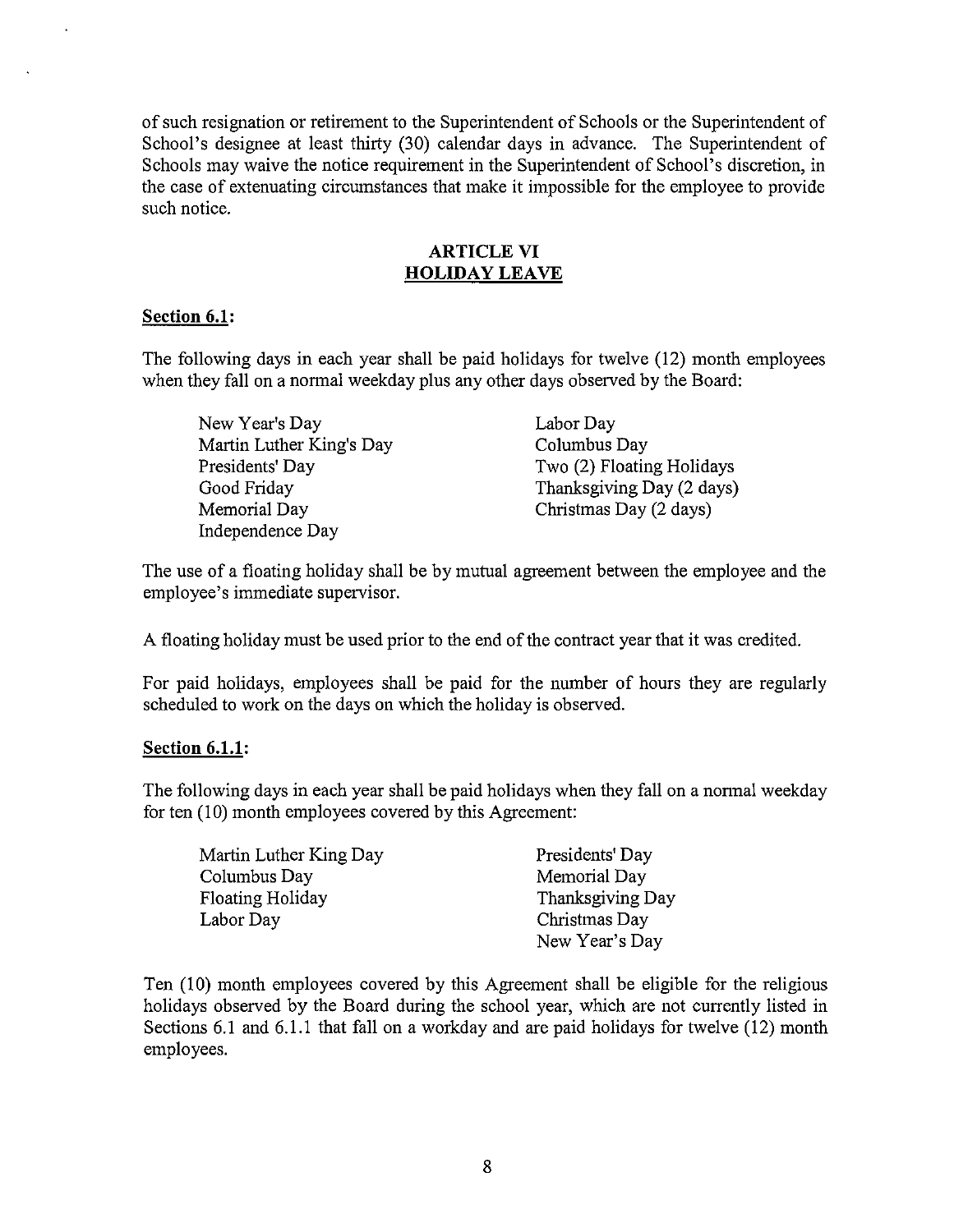of such resignation or retirement to the Superintendent of Schools or the Superintendent of School's designee at least thirty (30) calendar days in advance. The Superintendent of Schools may waive the notice requirement in the Superintendent of School's discretion, in the case of extenuating circumstances that make it impossible for the employee to provide such notice.

#### ARTICLE VI **HOLIDAY LEAVE**

### **Section 6.1:**

The following days in each year shall be paid holidays for twelve (12) month employees when they fall on a normal weekday plus any other days observed by the Board:

New Year's Day Martin Luther King's Day Presidents' Day Good Friday Memorial Day Independence Day

Labor Day Columbus Day Two (2) Floating Holidays Thanksgiving Day (2 days) Christmas Day (2 days)

The use of a floating holiday shall be by mutual agreement between the employee and the employee's immediate supervisor.

A floating holiday must be used prior to the end of the contract year that it was credited.

For paid holidays, employees shall be paid for the number of hours they are regularly scheduled to work on the days on which the holiday is observed.

#### **Section 6.1.1:**

The following days in each year shall be paid holidays when they fall on a normal weekday for ten (10) month employees covered by this Agreement:

| Martin Luther King Day | Presidents' Day  |
|------------------------|------------------|
| Columbus Day           | Memorial Day     |
| Floating Holiday       | Thanksgiving Day |
| Labor Day              | Christmas Day    |
|                        | New Year's Day   |

Ten (10) month employees covered by this Agreement shall be eligible for the religious holidays observed by the Board during the school year, which are not currently listed in Sections 6.1 and 6.1.1 that fall on a workday and are paid holidays for twelve (12) month employees.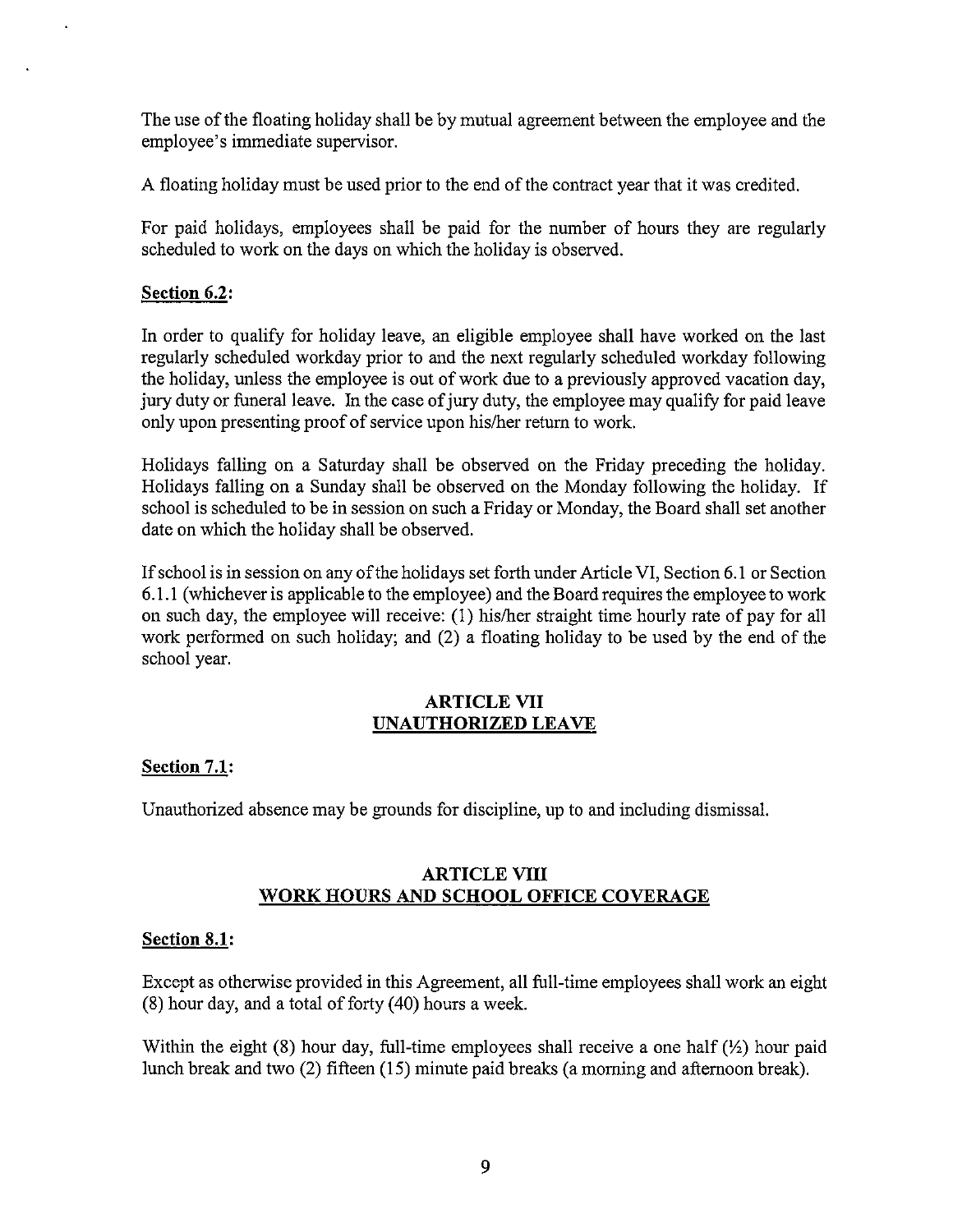The use of the floating holiday shall be by mutual agreement between the employee and the employee's immediate supervisor.

A floating holiday must be used prior to the end ofthe contract year that it was credited.

For paid holidays, employees shall be paid for the number of hours they are regularly scheduled to work on the days on which the holiday is observed.

# **Section 6.2:**

**In** order to qualify for holiday leave, an eligible employee shall have worked on the last regularly scheduled workday prior to and the next regularly scheduled workday following the holiday, unless the employee is out of work due to a previously approved vacation day, jury duty or funeral leave. In the case of jury duty, the employee may quality for paid leave only upon presenting proof of service upon his/her return to work.

Holidays falling on a Saturday shall be observed on the Friday preceding the holiday. Holidays falling on a Sunday shall be observed on the Monday following the holiday. If school is scheduled to be in session on such a Friday or Monday, the Board shall set another date on which the holiday shall be observed.

Ifschool is in session on any of the holidays set forth under Article VI, Section 6.1 or Section 6.1.1 (whichever is applicable to the employee) and the Board requires the employee to work on such day, the employee will receive: (l) his/her straight time hourly rate of pay for all work performed on such holiday; and (2) a floating holiday to be used by the end of the school year.

### ARTICLE VII **UNAUTHORIZED LEAVE**

#### **Section 7.1:**

Unauthorized absence may be grounds for discipline, up to and including dismissal.

### **ARTICLE VIII WORK HOURS AND SCHOOL OFFICE COVERAGE**

#### **Section 8.1:**

Except as otherwise provided in this Agreement, all full-time employees shall work an eight (8) hour day, and a total of forty (40) hours a week.

Within the eight (8) hour day, full-time employees shall receive a one half  $(\frac{1}{2})$  hour paid lunch break and two (2) fifteen (15) minute paid breaks (a morning and afternoon break).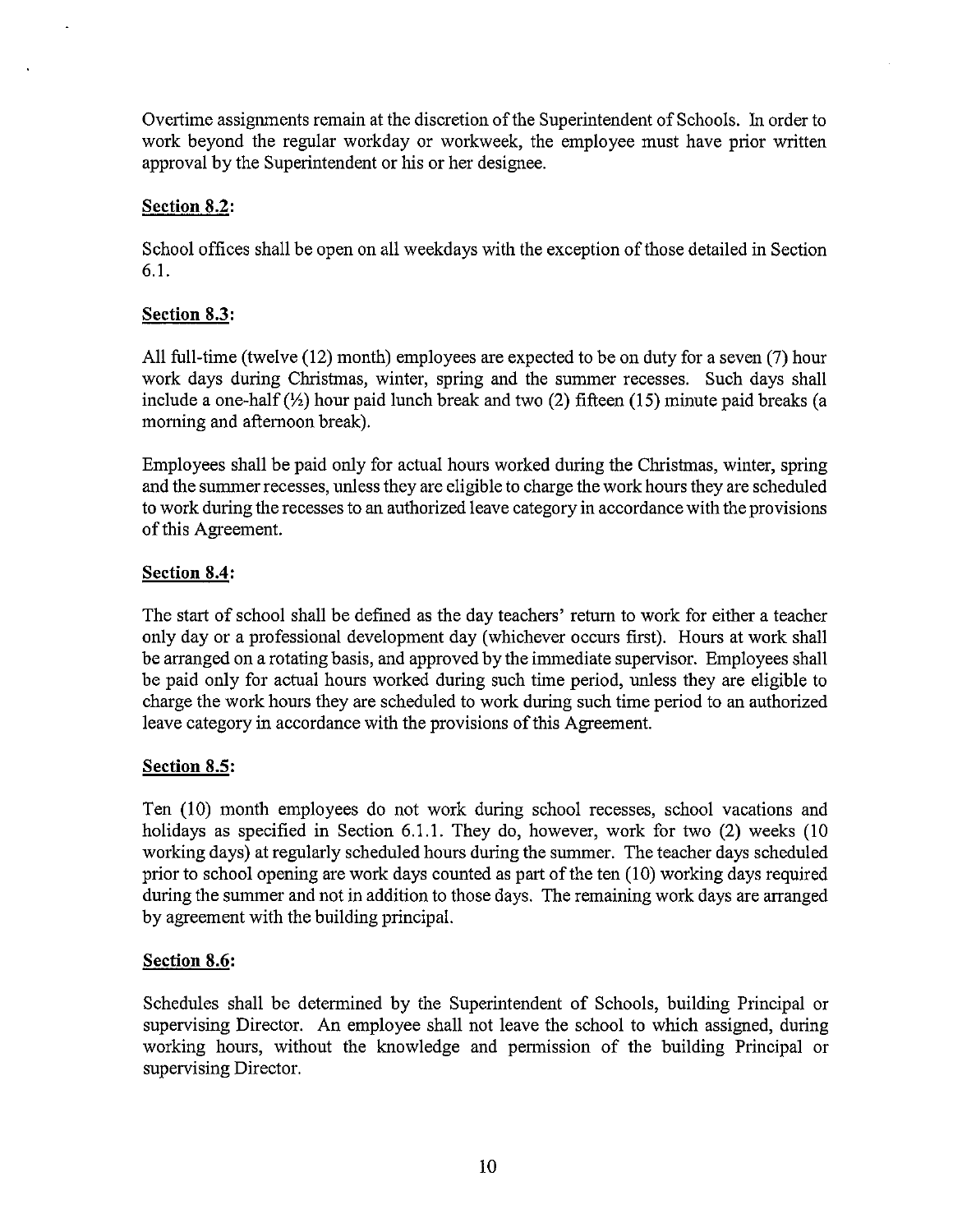Overtime assignments remain at the discretion of the Superintendent of Schools. In order to work beyond the regular workday or workweek, the employee must have prior written approval by the Superintendent or his or her designee.

# **Section 8.2:**

School offices shall be open on all weekdays with the exception of those detailed in Section 6.1.

# **Section 8.3:**

All full-time (twelve (12) month) employees are expected to be on duty for a seven (7) hour work days during Christmas, winter, spring and the summer recesses. Such days shall include a one-half  $(\frac{1}{2})$  hour paid lunch break and two (2) fifteen (15) minute paid breaks (a morning and afternoon break).

Employees shall be paid only for actual hours worked during the Christmas, winter, spring and the summer recesses, unless they are eligible to charge the work hours they are scheduled to work during the recesses to an authorized leave category in accordance with the provisions of this Agreement.

# **Section 8.4:**

The start of school shall be defined as the day teachers' return to work for either a teacher only day or a professional development day (whichever occurs first). Hours at work shall be arranged on a rotating basis, and approved by the immediate supervisor. Employees shall be paid only for actual hours worked during such time period, unless they are eligible to charge the work hours they are scheduled to work during such time period to an authorized leave category in accordance with the provisions of this Agreement.

# **Section 8.5:**

Ten (10) month employees do not work during school recesses, school vacations and holidays as specified in Section 6.1.1. They do, however, work for two (2) weeks (10 working days) at regularly scheduled hours during the summer. The teacher days scheduled prior to school opening are work days counted as part of the ten  $(10)$  working days required during the summer and not in addition to those days. The remaining work days are arranged by agreement with the building principal.

# **Section 8.6:**

Schedules shall be determined by the Superintendent of Schools, building Principal or supervising Director. An employee shall not leave the school to which assigned, during working hours, without the knowledge and permission of the building Principal or supervising Director.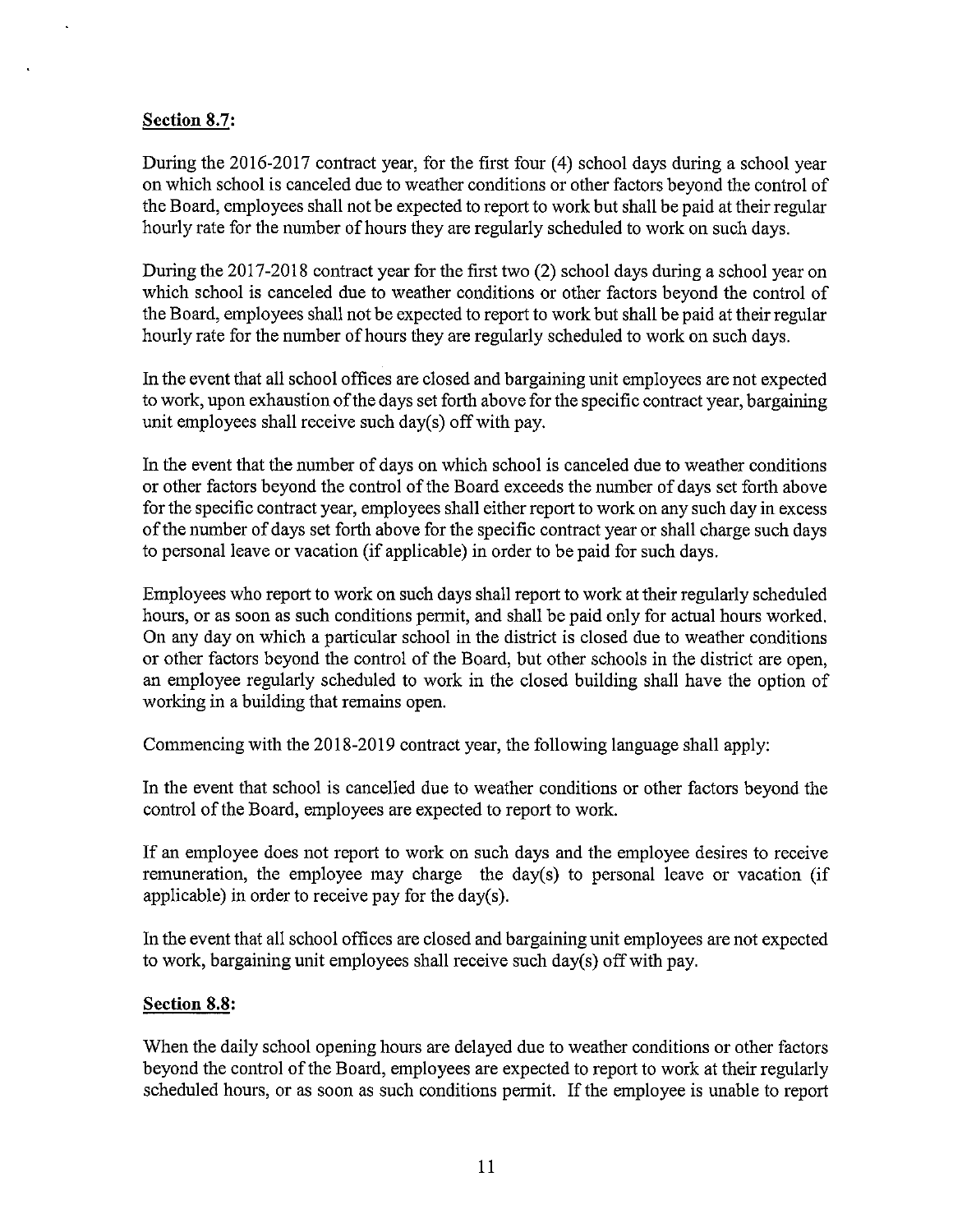# **Section** 8.7:

During the 2016-2017 contract year, for the first four (4) school days during a school year on which school is canceled due to weather conditions or other factors beyond the control of the Board, employees shall not be expected to report to work but shall be paid at their regular hourly rate for the number of hours they are regularly scheduled to work on such days.

During the 2017-2018 contract year for the first two (2) school days during a school year on which school is canceled due to weather conditions or other factors beyond the control of the Board, employees shall not be expected to report to work but shall be paid at their regular hourly rate for the number of hours they are regularly scheduled to work on such days.

In the event that all school offices are closed and bargaining unit employees are not expected to work, upon exhaustion of the days set forth above for the specific contract year, bargaining unit employees shall receive such day(s) off with pay.

In the event that the number of days on which school is canceled due to weather conditions or other factors beyond the control of the Board exceeds the number of days set forth above for the specific contract year, employees shall either report to work on any such day in excess of the number of days set forth above for the specific contract year or shall charge such days to personal leave or vacation (if applicable) in order to be paid for such days.

Employees who report to work on such days shall report to work at their regularly scheduled hours, or as soon as such conditions permit, and shall be paid only for actual hours worked. On any day on which a particular school in the district is closed due to weather conditions or other factors beyond the control of the Board, but other schools in the district are open, an employee regularly scheduled to work in the closed building shall have the option of working in a building that remains open.

Commencing with the 2018-2019 contract year, the following language shall apply:

In the event that school is cancelled due to weather conditions or other factors beyond the control of the Board, employees are expected to report to work.

If an employee does not report to work on such days and the employee desires to receive remuneration, the employee may charge the day(s) to personal leave or vacation (if applicable) in order to receive pay for the day(s).

In the event that all school offices are closed and bargaining unit employees are not expected to work, bargaining unit employees shall receive such day(s) off with pay.

#### **Section 8.8:**

When the daily school opening hours are delayed due to weather conditions or other factors beyond the control of the Board, employees are expected to report to work at their regularly scheduled hours, or as soon as such conditions pennit. If the employee is unable to report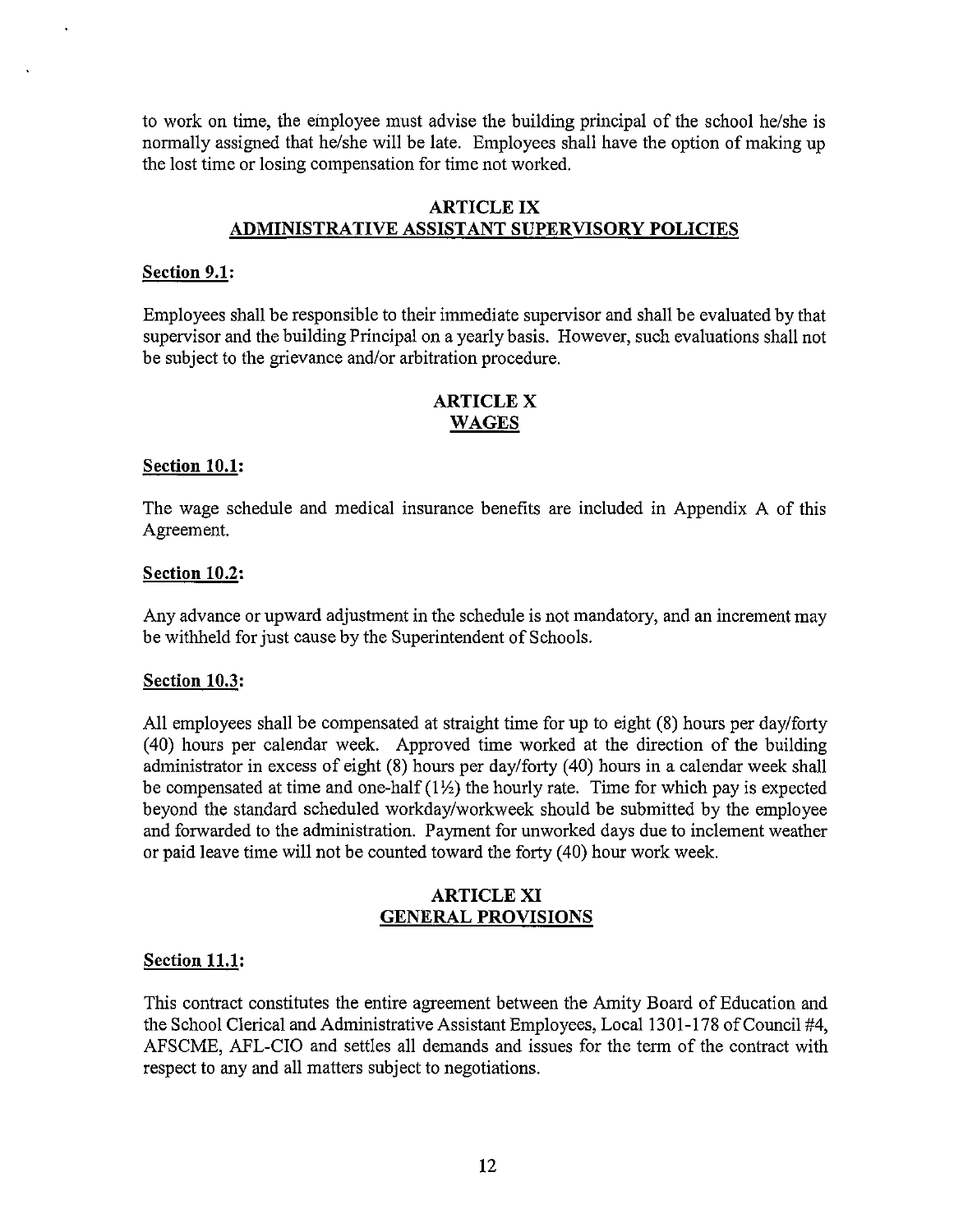to work on time, the einployee must advise the building principal of the school he/she is normally assigned that he/she will be late. Employees shall have the option of making up the lost time or losing compensation for time not worked.

### ARTICLE IX ADMINISTRATIVE ASSISTANT SUPERVISORY POLICIES

### Section 9.1:

Employees shall be responsible to their immediate supervisor and shall be evaluated by that supervisor and the building Principal on a yearly basis. However, such evaluations shall not be subject to the grievance and/or arbitration procedure.

### ARTICLE X WAGES

#### Section 10.1:

The wage schedule and medical insurance benefits are included in Appendix A of this Agreement.

### Section 10.2:

Any advance or upward adjustment in the schedule is not mandatory, and an increment may be withheld for just cause by the Superintendent of Schools.

#### Section 10.3:

All employees shall be compensated at straight time for up to eight (8) hours per day/forty (40) hours per calendar week. Approved time worked at the direction of the building administrator in excess of eight (8) hours per day/forty (40) hours in a calendar week shall be compensated at time and one-half  $(1\frac{1}{2})$  the hourly rate. Time for which pay is expected beyond the standard scheduled workday/workweek should be submitted by the employee and forwarded to the administration. Payment for unworked days due to inclement weather or paid leave time will not be counted toward the forty (40) hour work week.

### ARTICLE XI GENERAL PROVISIONS

# Section 11.1:

This contract constitutes the entire agreement between the Amity Board of Education and the School Clerical and Administrative Assistant Employees, Local 1301-178 of Council #4, AFSCME, AFL-CIO and settles all demands and issues for the tenn of the contract with respect to any and all matters subject to negotiations.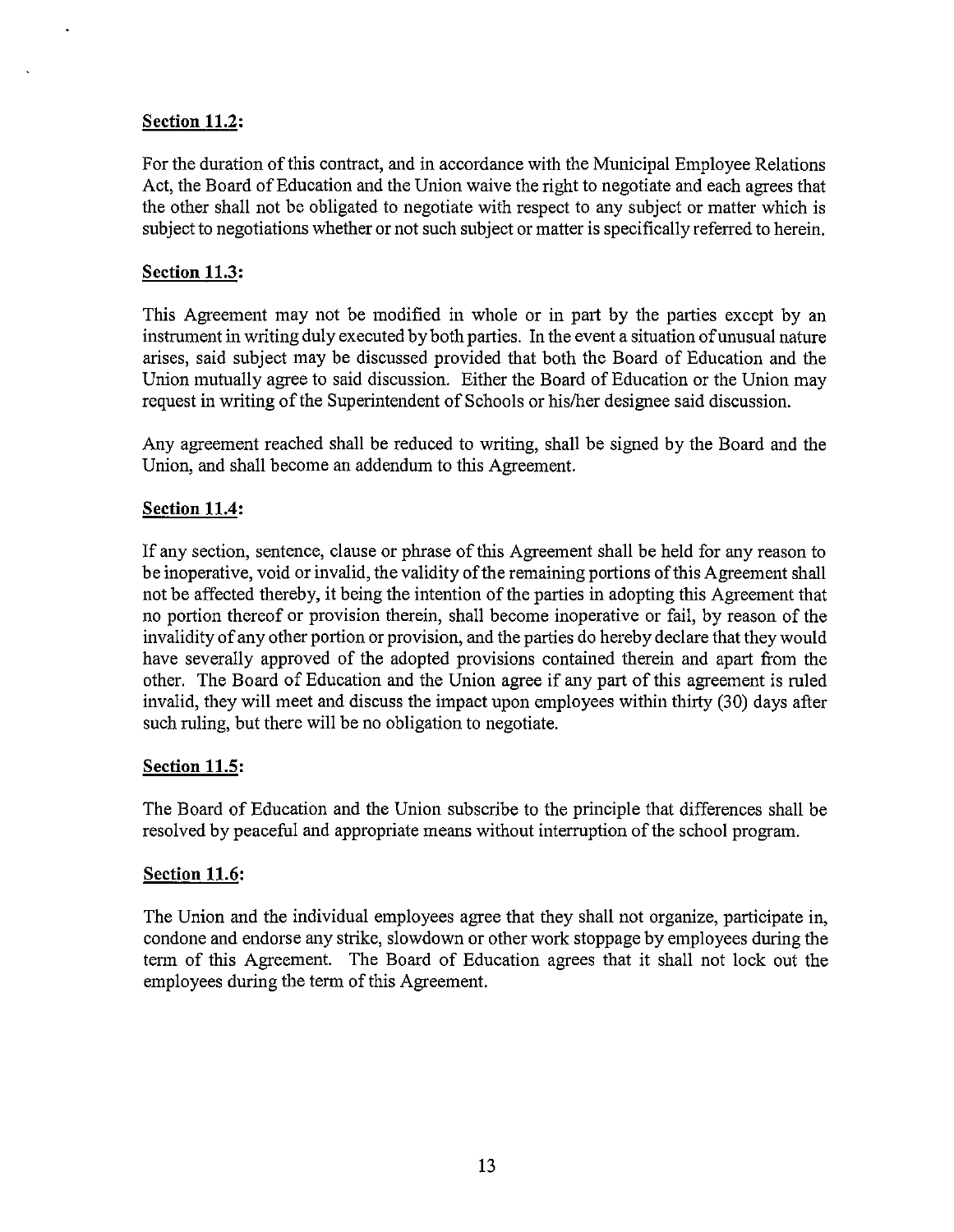### **Section 11.2:**

For the duration of this contract, and in accordance with the Municipal Employee Relations Act, the Board of Education and the Union waive the right to negotiate and each agrees that the other shall not be obligated to negotiate with respect to any subject or matter which is subject to negotiations whether or not such subject or matter is specifically referred to herein.

### **Section 11.3:**

This Agreement may not be modified in whole or in part by the parties except by an instrument in writing duly executed by both parties. In the event a situation of unusual nature arises, said subject may be discussed provided that both the Board of Education and the Union mutually agree to said discussion. Either the Board of Education or the Union may request in writing of the Superintendent of Schools or his/her designee said discussion.

Any agreement reached shall be reduced to writing, shall be signed by the Board and the Union, and shall become an addendum to this Agreement.

### **Section 11.4:**

If any section, sentence, clause or phrase of this Agreement shall be held for any reason to be inoperative, void or invalid, the validity of the remaining portions of this Agreement shall not be affected thereby, it being the intention of the parties in adopting this Agreement that no portion thereof or provision therein, shall become inoperative or fail, by reason of the invalidity of any other portion or provision, and the parties do hereby declare that they would have severally approved of the adopted provisions contained therein and apart from the other. The Board of Education and the Union agree if any part of this agreement is ruled invalid, they will meet and discuss the impact upon employees within thirty (30) days after such ruling, but there will be no obligation to negotiate.

#### **Section 11.5:**

The Board of Education and the Union subscribe to the principle that differences shall be resolved by peaceful and appropriate means without interruption of the school program.

#### **Section 11.6:**

The Union and the individual employees agree that they shall not organize, participate in, condone and endorse any strike, slowdown or other work stoppage by employees during the term of this Agreement. The Board of Education agrees that it shall not lock out the employees during the term of this Agreement.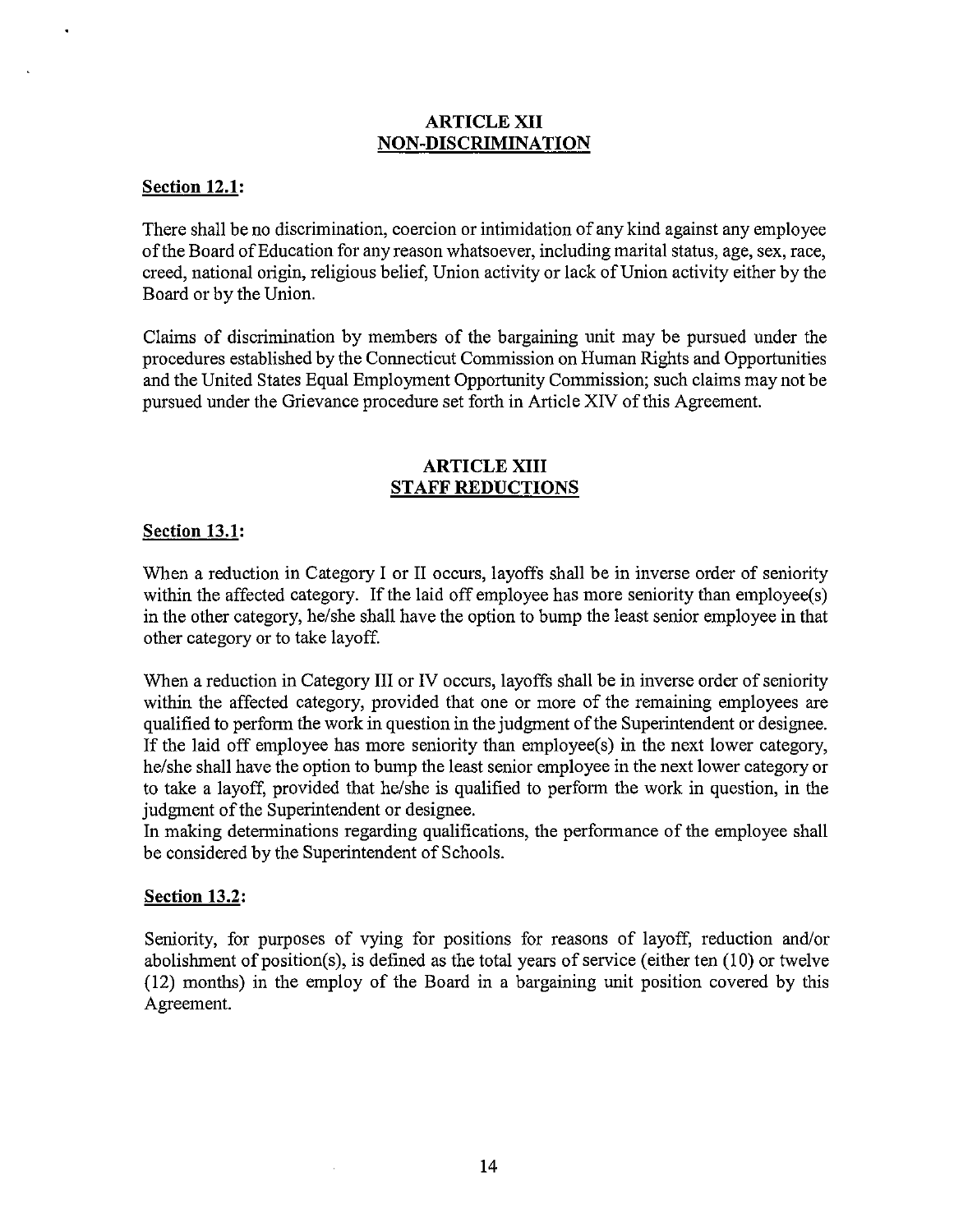### ARTICLE XII **NON-DISCRIMINATION**

### **Section 12.1:**

There shall be no discrimination, coercion or intimidation of any kind against any employee ofthe Board of Education for any reason whatsoever, including marital status, age, sex, race, creed, national origin, religious belief, Union activity or lack of Union activity either by the Board or by the Union.

Claims of discrimination by members of tbe bargaining unit may be pursued under the procedures established by the Connecticut Commission on Human Rights and Opportunities and the United States Equal Employment Opportunity Commission; such claims may not be pursued under the Grievance procedure set forth in Article XIV of this Agreement.

#### **ARTICLE XIII STAFF REDUCTIONS**

#### **Section 13.1:**

When a reduction in Category I or II occurs, layoffs shall be in inverse order of seniority within the affected category. If the laid off employee has more seniority than employee(s) in the other category, he/she shall have the option to bump the least senior employee in that otber category or to take layoff.

When a reduction in Category III or IV occurs, layoffs shall be in inverse order of seniority within the affected category, provided that one or more of the remaining employees are qualified to perform the work in question in tbe judgment of the Superintendent or designee. If tbe laid off employee has more seniority than employee(s) in the next lower category, he/she shall have the option to bump the least senior employee in the next lower category or to take a layoff, provided that he/she is qualified to perform the work in question, in the judgment of the Superintendent or designee.

In making determinations regarding qualifications, the performance of the employee shall be considered by the Superintendent of Schools.

# **Section 13.2:**

Seniority, for purposes of vying for positions for reasons of layoff, reduction and/or abolishment of position(s), is defined as the total years of service (either ten  $(10)$  or twelve (12) montbs) in tbe employ of the Board in a bargaining unit position covered by tbis Agreement.

 $\mathcal{A}$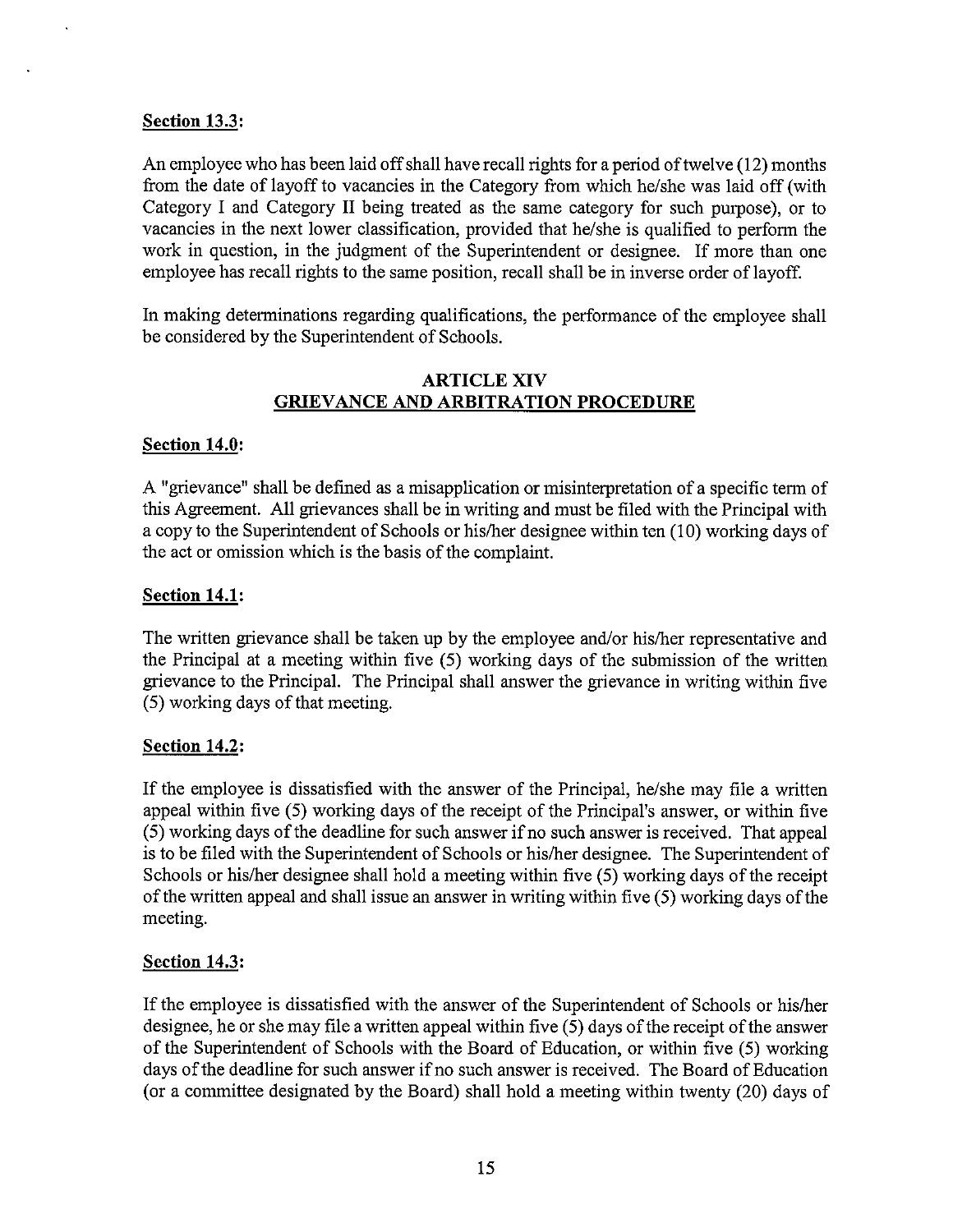### **Section 13.3:**

An employee who has been laid off shall have recall rights for a period of twelve (12) months from the date of layoff to vacancies in the Category from which he/she was laid off (with Category I and Category II being treated as the same category for such purpose), or to vacancies in the next lower classification, provided that he/she is qualified to perform the work in question, in the judgment of the Superintendent or designee. If more than one employee has recall rights to the same position, recall shall be in inverse order of layoff.

In making determinations regarding qualifications, the performance of the employee shall be considered by the Superintendent of Schools.

### ARTICLE XIV **GRIEVANCE AND ARBITRATION PROCEDURE**

### **Section 14.0:**

A "grievance" shall be defined as a misapplication or misinterpretation of a specific term of this Agreement. All grievances shall be in writing and must be filed with the Principal with a copy to the Superintendent of Schools or his/her designee within ten (10) working days of the act or omission which is the basis of the complaint.

### **Section 14.1:**

The written grievance shall be taken up by the employee and/or his/her representative and the Principal at a meeting within five (5) working days of the submission of the written grievance to the Principal. The Principal shall answer the grievance in writing within five (5) working days of that meeting.

# **Section 14.2:**

If the employee is dissatisfied with the answer of the Principal, he/she may file a written appeal within five (5) working days of the receipt of the Principal's answer, or within five (5) working days of the deadline for such answer if no such answer is received. That appeal is to be filed with the Superintendent of Schools or his/her designee. The Superintendent of Schools or his/her designee shall hold a meeting within five (5) working days of the receipt of the written appeal and shall issue an answer in writing within five (5) working days of the meeting.

#### **Section 14.3:**

If the employee is dissatisfied with the answer of the Superintendent of Schools or his/her designee, he or she may file a written appeal within five (5) days of the receipt of the answer of the Superintendent of Schools with the Board of Education, or within five (5) working days of the deadline for such answer if no such answer is received. The Board of Education (or a committee designated by the Board) shall hold a meeting within twenty (20) days of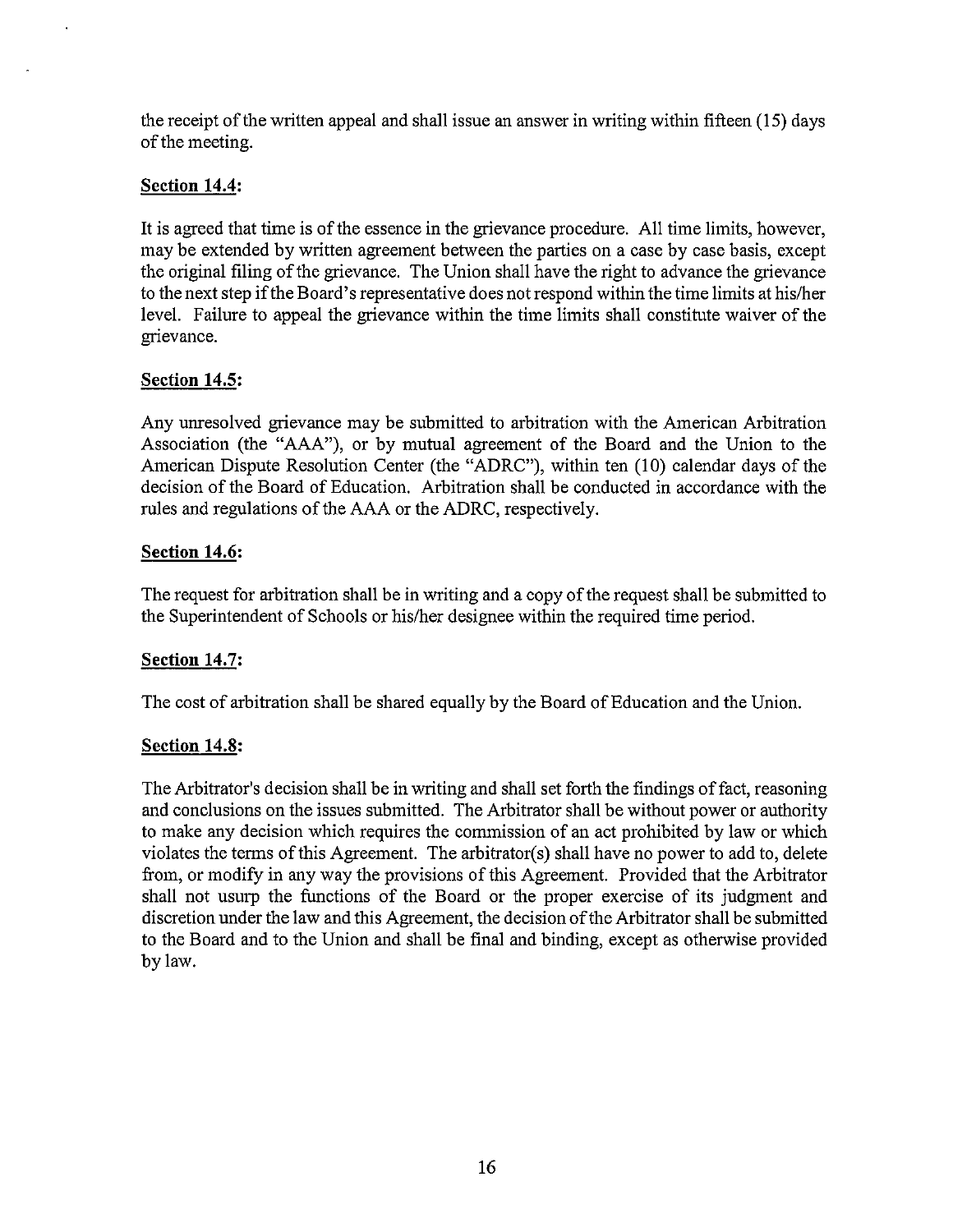the receipt of the written appeal and shall issue an answer in writing within fifteen (15) days of the meeting.

# **Section 14.4:**

It is agreed that time is of the essence in the grievance procedure. All time limits, however, may be extended by written agreement between the parties on a case by case basis, except the original filing of the grievance. The Union shall have the right to advance the grievance to the next step if the Board's representative does not respond within the time limits at hislher level. Failure to appeal the grievance within the time limits shall constitute waiver of the grievance.

### **Section 14.5:**

Any unresolved grievance may be submitted to arbitration with the American Arbitration Association (the "AAA"), or by mutual agreement of the Board and the Union to the American Dispute Resolution Center (the "ADRC"), within ten (10) calendar days of the decision of the Board of Education. Arbitration shall be conducted in accordance with the rules and regulations of the AAA or the ADRC, respectively.

### **Section 14.6:**

The request for arbitration shall be in writing and a copy of the request shall be submitted to the Superintendent of Schools or hislher designee within the required time period.

# **Section 14.7:**

The cost of arbitration shall be shared equally by the Board of Education and the Union.

# **Section 14.8:**

The Arbitrator's decision shall be in writing and shall set forth the findings of fact, reasoning and conclusions on the issues submitted. The Arbitrator shall be without power or authority to make any decision which requires the commission of an act prohibited by law or which violates the terms of this Agreement. The arbitrator(s) shall have no power to add to, delete from, or modify in any way the provisions of this Agreement. Provided that the Arbitrator shall not usurp the functions of the Board or the proper exercise of its judgment and discretion under the law and this Agreement, the decision of the Arbitrator shall be submitted to the Board and to the Union and shall be final and binding, except as otherwise provided bylaw.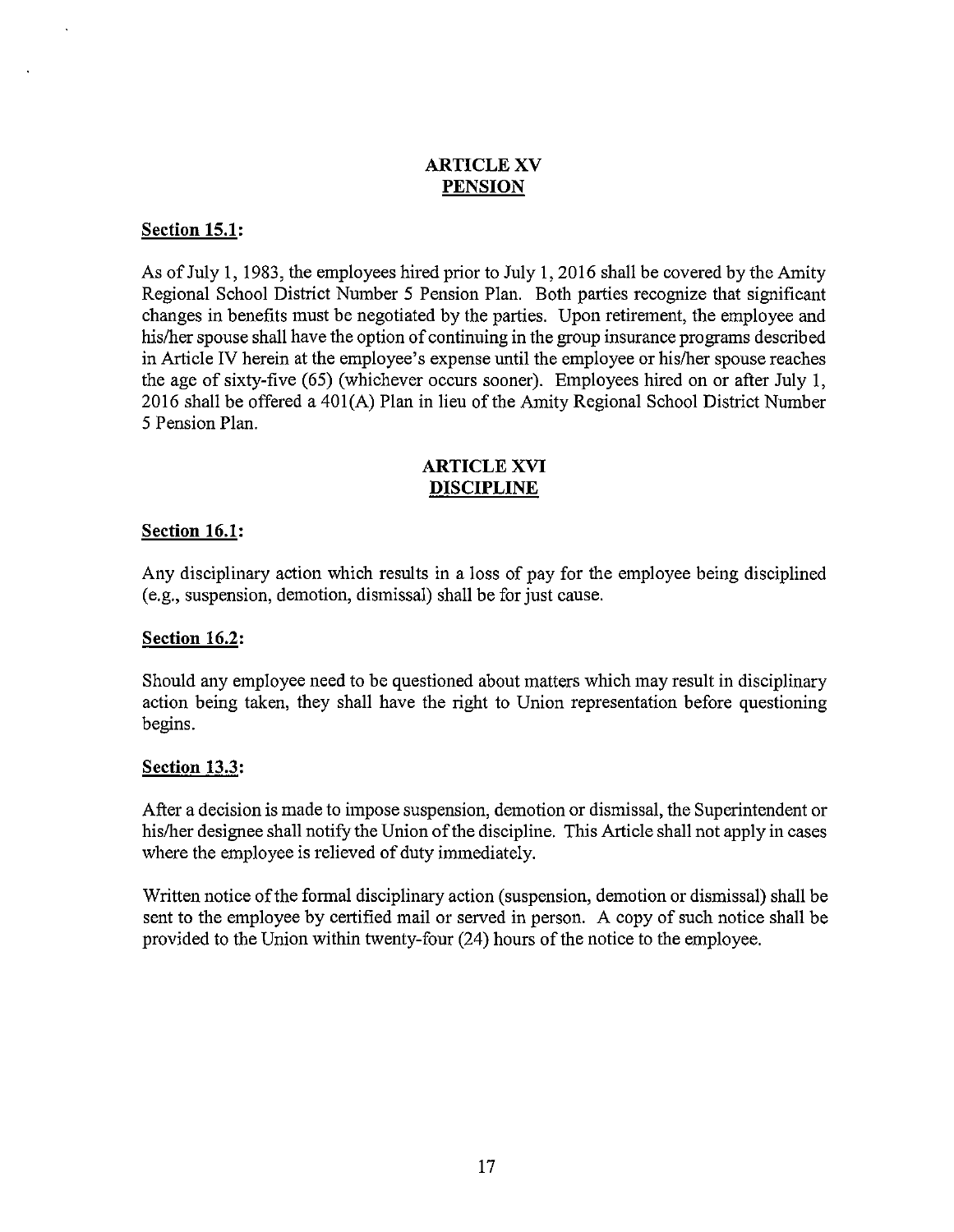# ARTICLE XV **PENSION**

#### **Section 15.1:**

As of July **1,** 1983, the employees hired prior to July **1,** 2016 shall be covered by the Amity Regional School District Number 5 Pension Plan. Both parties recognize that significant changes in benefits must be negotiated by the parties. Upon retirement, the employee and his/her spouse shall have the option of continuing in the group insurance programs described in Article **IV** herein at the employee's expense until the employee or hislher spouse reaches the age of sixty-five (65) (whichever occurs sooner). Employees hired on or after July **1,**  2016 shall be offered a 401(A) Plan in lieu of the Amity Regional School District Number 5 Pension Plan.

### ARTICLE XVI **DISCIPLINE**

#### **Section 16.1:**

Any disciplinary action which results in a loss of pay for the employee being disciplined (e.g., suspension, demotion, dismissal) shall be for just cause.

#### **Section 16.2:**

Should any employee need to be questioned about matters which may result in disciplinary action being taken, they shall have the right to Union representation before questioning begins.

#### **Section 13.3:**

After a decision is made to impose suspension, demotion or dismissal, the Superintendent or his/her designee shall notify the Union of the discipline. This Article shall not apply in cases where the employee is relieved of duty immediately.

Written notice of the formal disciplinary action (suspension, demotion or dismissal) shall be sent to the employee by certified mail or served in person. A copy of such notice shall be provided to the Union within twenty-four (24) hours of the notice to the employee.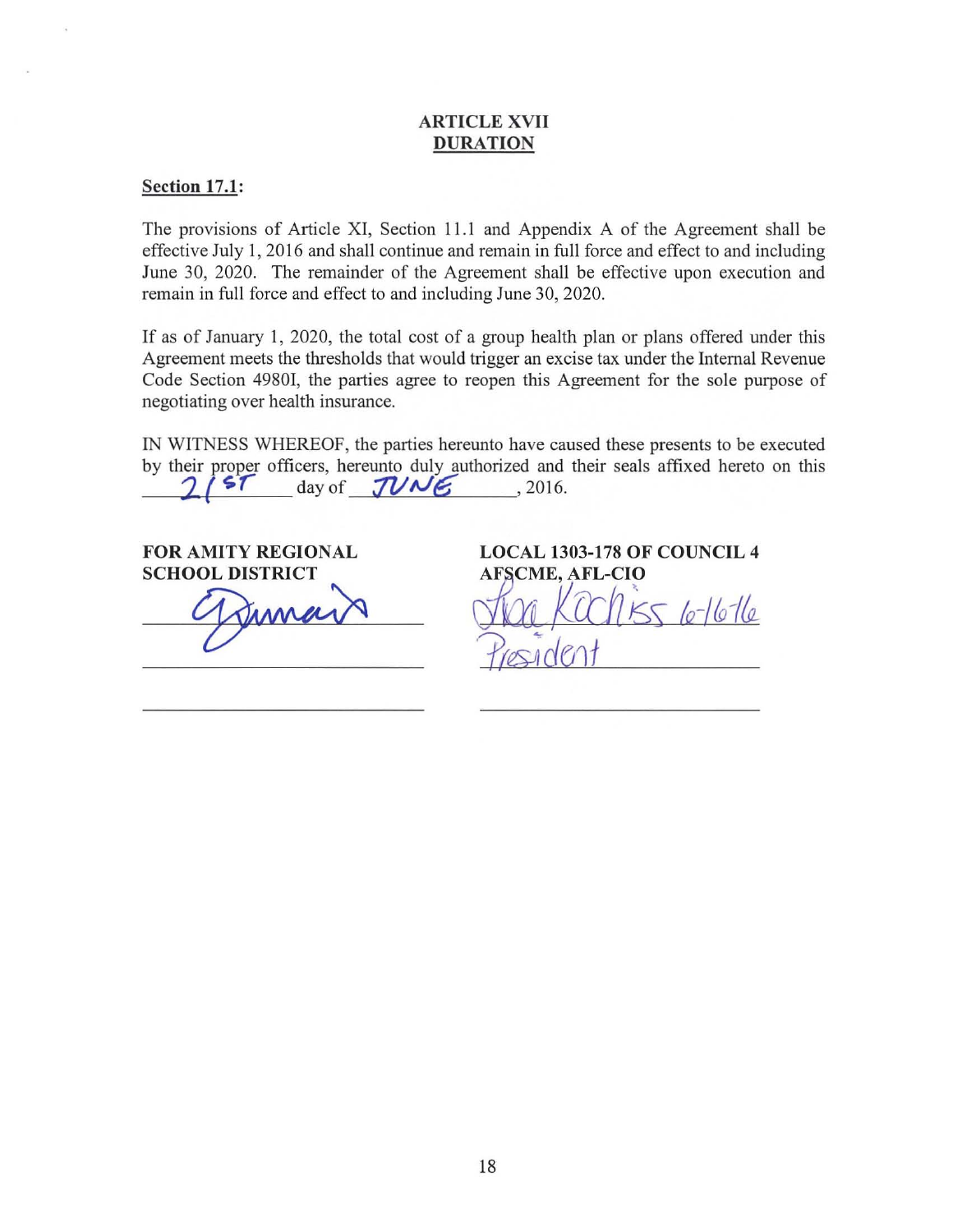### ARTICLE XVII DURATION

#### Section 17.1:

The provisions of Article XI, Section 11.1 and Appendix A of the Agreement shall be effective July I, 2016 and shall continue and remain in full force and effect to and including June 30, 2020. The remainder of the Agreement shall be effective upon execution and remain in full force and effect to and including June 30, 2020.

If as of January I, 2020, the total cost of a group health plan or plans offered under this Agreement meets the thresholds that would trigger an excise tax under the Internal Revenue Code Section 49801, the parties agree to reopen this Agreement for the sole purpose of negotiating over health insurance.

IN WITNESS WHEREOF, the parties hereunto have caused these presents to be executed by their proper officers, hereunto duly authorized and their seals affixed hereto on this  $\frac{7}{4}$  $day of$   $7VME$  , 2016.

FOR AMITY REGIONAL SCHOOL DISTRICT

Dimain

LOCAL 1303-178 OF COUNCIL 4 **AFSCME, AFL-CIO**  $\log$  KCC/LKSS le-16-16 *<u>President</u>*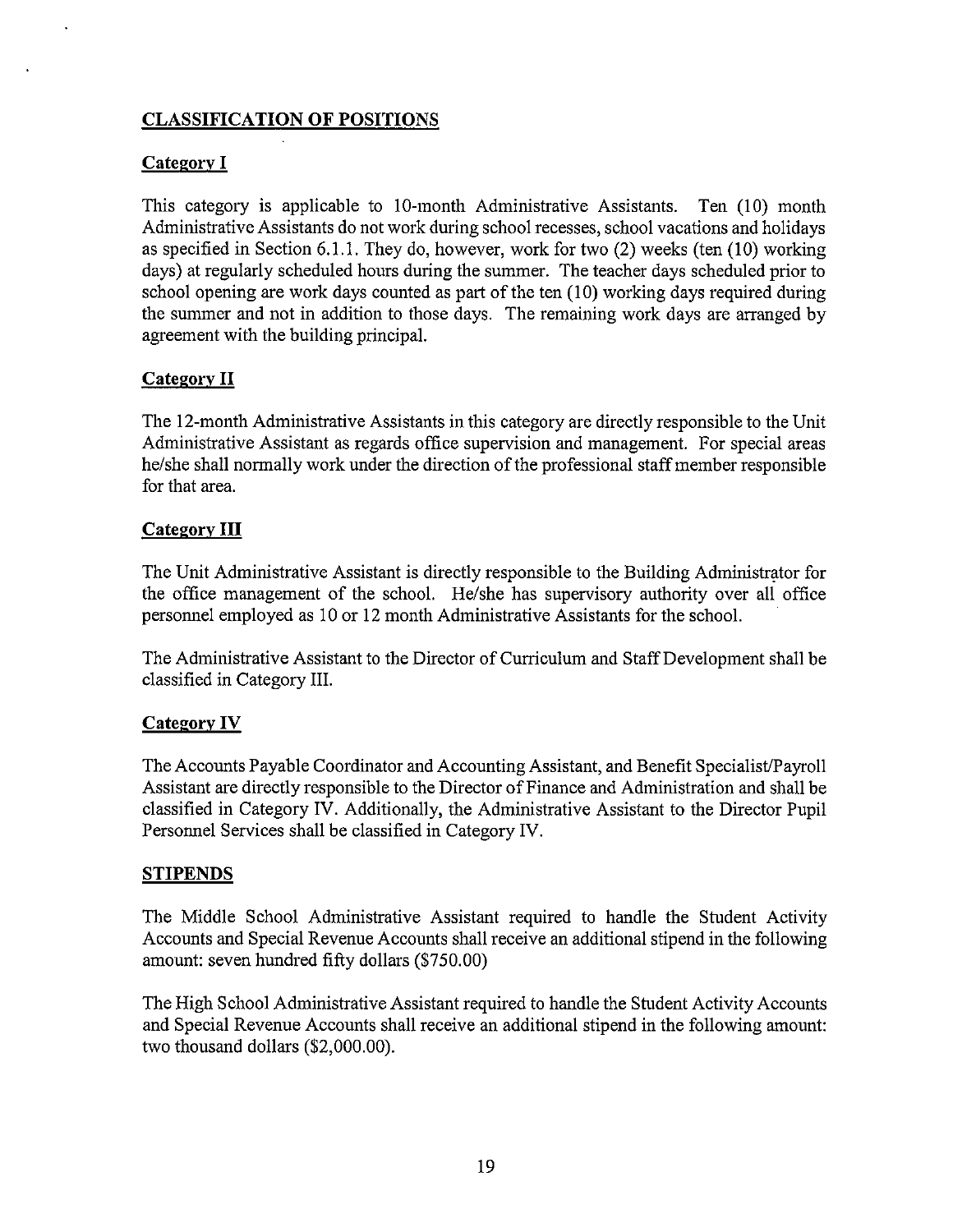# **CLASSIFICATION OF POSITIONS**

# **Category I**

This category is applicable to 10-month Administrative Assistants. Ten (10) month Administrative Assistants do not work during school recesses, school vacations and holidays as specified in Section 6.1.1. They do, however, work for two (2) weeks (ten (10) working days) at regularly scheduled hours during the summer. The teacher days scheduled prior to school opening are work days counted as part of the ten (10) working days required during the summer and not in addition to those days. The remaining work days are arranged by agreement with the building principal.

# **Category II**

The 12-month Administrative Assistants in this category are directly responsible to the Unit Administrative Assistant as regards office supervision and management. For special areas he/she shall normally work under the direction of the professional staff member responsible for that area.

### **Category III**

The Unit Administrative Assistant is directly responsible to the Building Administrator for the office management of the school. He/she has supervisory authority over all office personnel employed as 10 or 12 month Administrative Assistants for the school.

The Administrative Assistant to the Director of Curriculum and Staff Development shall be classified in Category III.

# Category IV

The Accounts Payable Coordinator and Accounting Assistant, and Benefit SpecialistlPayroll Assistant are directly responsible to the Director of Finance and Administration and shall be classified in Category **IV.** Additionally, the Administrative Assistant to the Director Pupil Personnel Services shall be classified in Category IV.

#### **STIPENDS**

The Middle School Administrative Assistant required to handle the Student Activity Accounts and Special Revenue Accounts shall receive an additional stipend in the following amount: seven hundred fifty dollars (\$750.00)

The High School Administrative Assistant required to handle the Student Activity Accounts and Special Revenue Accounts shall receive an additional stipend in the following amount: two thousand dollars (\$2,000.00).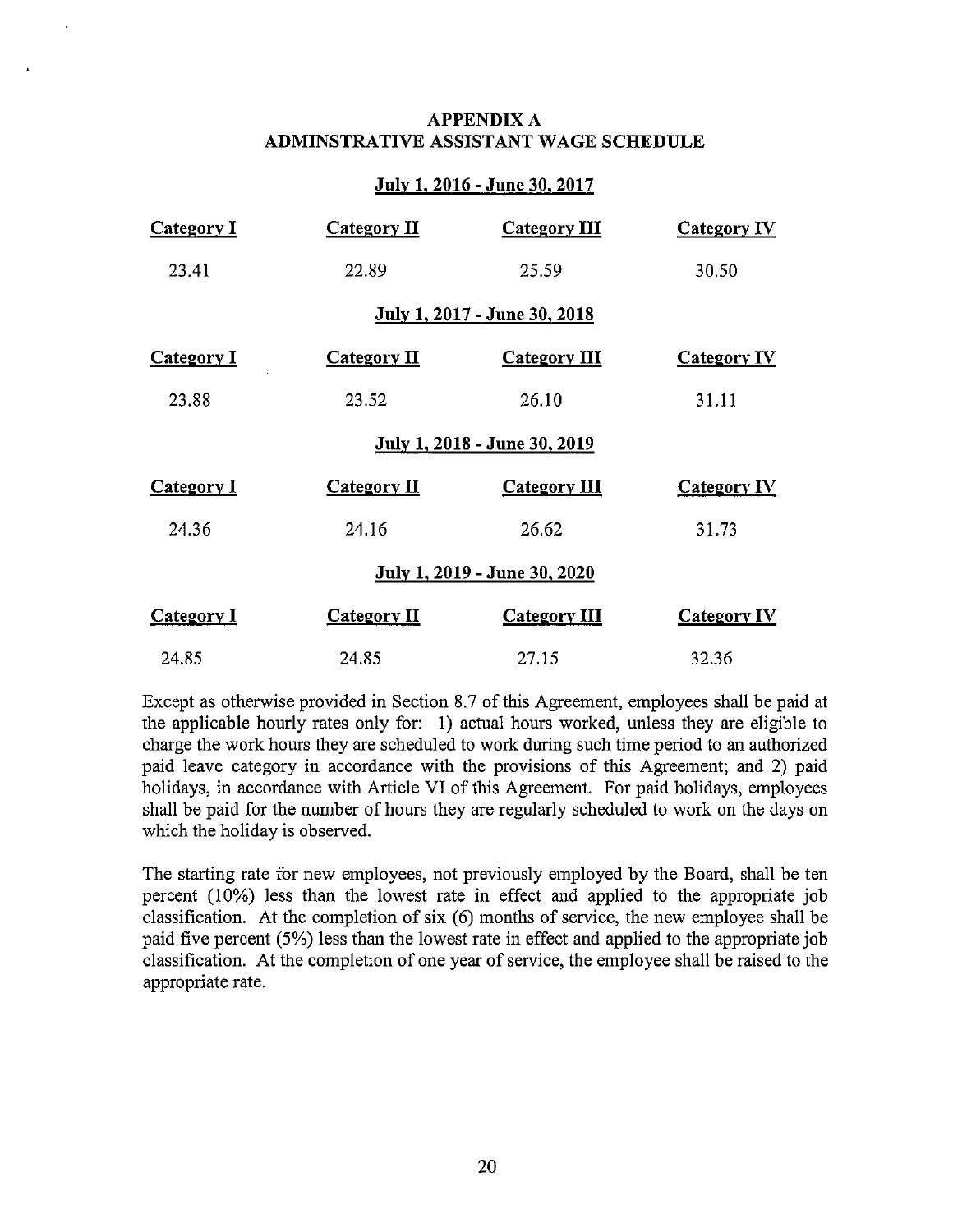### APPENDIX A **ADMINSTRA TIVE ASSISTANT WAGE SCHEDULE**

### **July 1, 2016 - June 30, 2017**

| <b>Category I</b>            | <b>Category II</b> | <b>Category III</b>          | <b>Category IV</b> |
|------------------------------|--------------------|------------------------------|--------------------|
| 23.41                        | 22.89              | 25.59                        | 30.50              |
| July 1, 2017 - June 30, 2018 |                    |                              |                    |
| <b>Category I</b>            | <b>Category II</b> | <b>Category III</b>          | <b>Category IV</b> |
| 23.88                        | 23.52              | 26.10                        | 31.11              |
|                              |                    | July 1, 2018 - June 30, 2019 |                    |
| <b>Category I</b>            | Category II        | <b>Category III</b>          | <b>Category IV</b> |
| 24.36                        | 24.16              | 26.62                        | 31.73              |
|                              |                    | July 1, 2019 - June 30, 2020 |                    |
| <b>Category I</b>            | <b>Category II</b> | <b>Category III</b>          | <b>Category IV</b> |
| 24.85                        | 24.85              | 27.15                        | 32.36              |

Except as otherwise provided in Section 8.7 of this Agreement, employees shall be paid at the applicable hourly rates only for: 1) actual hours worked, unless they are eligible to charge the work hours they are scheduled to work during such time period to an authorized paid leave category in accordance with the provisions of this Agreement; and 2) paid holidays, in accordance with Article **VI** of this Agreement. For paid holidays, employees shall be paid for the number of hours they are regularly scheduled to work on the days on which the holiday is observed.

The starting rate for new employees, not previously employed by the Board, shall be ten percent (10%) less than the lowest rate in effect and applied to the appropriate job classification. At the completion of six (6) months of service, the new employee shall be paid five percent (5%) less than the lowest rate in effect and applied to the appropriate job classification. At the completion of one year of service, the employee shall be raised to the appropriate rate.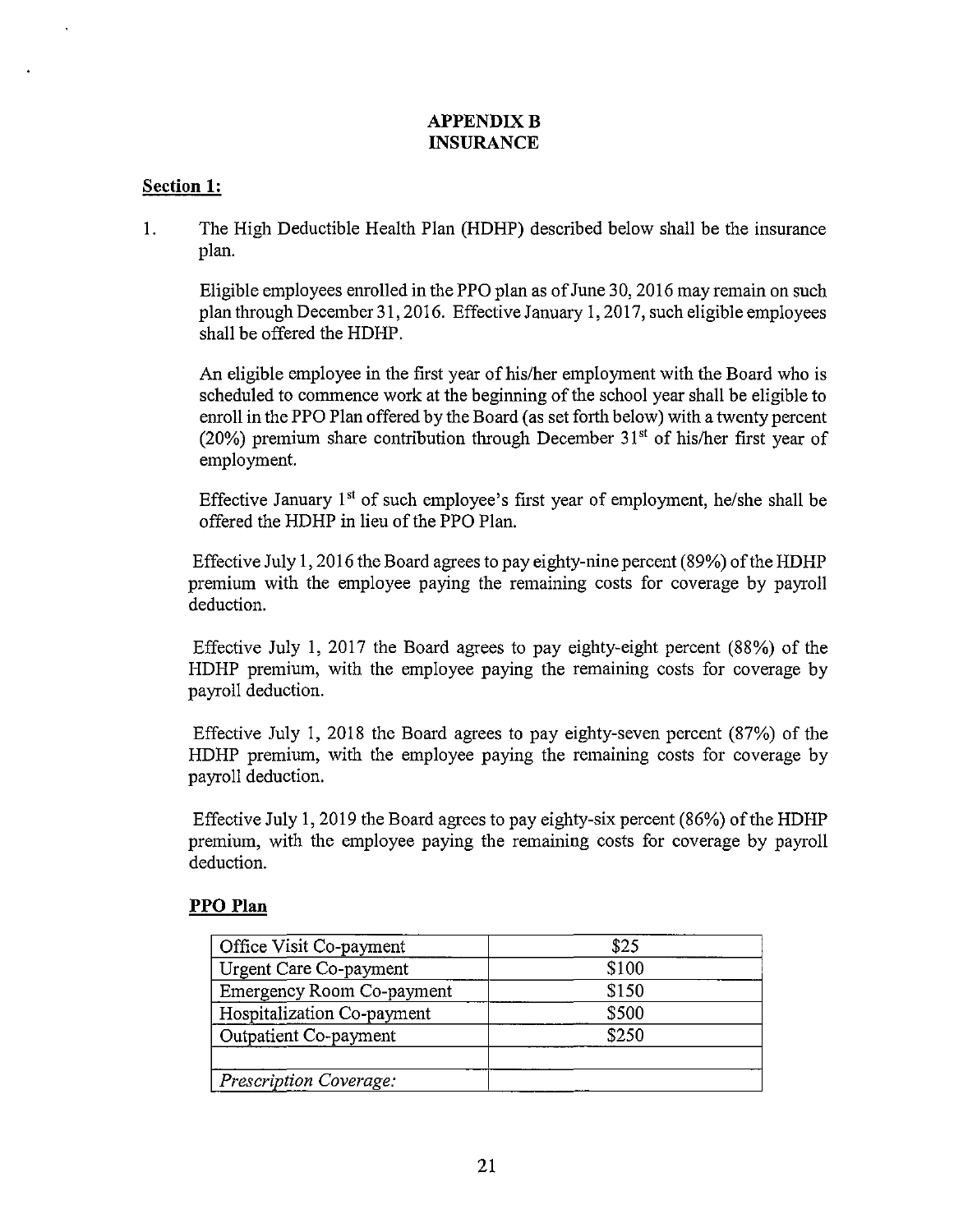# **APPENDIX B INSURANCE**

# **Section 1:**

1. The High Deductible Health Plan (HDHP) described below shall be the insurance plan.

Eligible employees enrolled in the PPO plan as of June 30, 2016 may remain on such plan through December 31, 2016. Effective January 1, 2017, such eligible employees shall be offered the HDHP.

An eligible employee in the first year of his/her employment with the Board who is scheduled to commence work at the beginning of the school year shall be eligible to enroll in the PPO Plan offered by the Board (as set forth below) with a twenty percent (20%) premium share contribution through December  $31<sup>st</sup>$  of his/her first year of employment.

Effective January  $1<sup>st</sup>$  of such employee's first year of employment, he/she shall be offered the HDHP in lieu of the PPO Plan.

Effective July I, 2016 the Board agrees to pay eighty-nine percent (89%) of the HDHP premium with the employee paying the remaining costs for coverage by payroll deduction.

Effective July 1, 2017 the Board agrees to pay eighty-eight percent (88%) of the HDHP premium, with the employee paying the remaining costs for coverage by payroll deduction.

Effective July I, 2018 the Board agrees to pay eighty-seven percent (87%) of the HDHP premium, with the employee paying the remaining costs for coverage by payroll deduction.

Effective July 1, 2019 the Board agrees to pay eighty-six percent  $(86%)$  of the HDHP premium, with the employee paying the remaining costs for coverage by payroll deduction.

#### **PPO Plan**

| Office Visit Co-payment          | \$25  |  |
|----------------------------------|-------|--|
| Urgent Care Co-payment           | \$100 |  |
| <b>Emergency Room Co-payment</b> | \$150 |  |
| Hospitalization Co-payment       | \$500 |  |
| Outpatient Co-payment            | \$250 |  |
|                                  |       |  |
| Prescription Coverage:           |       |  |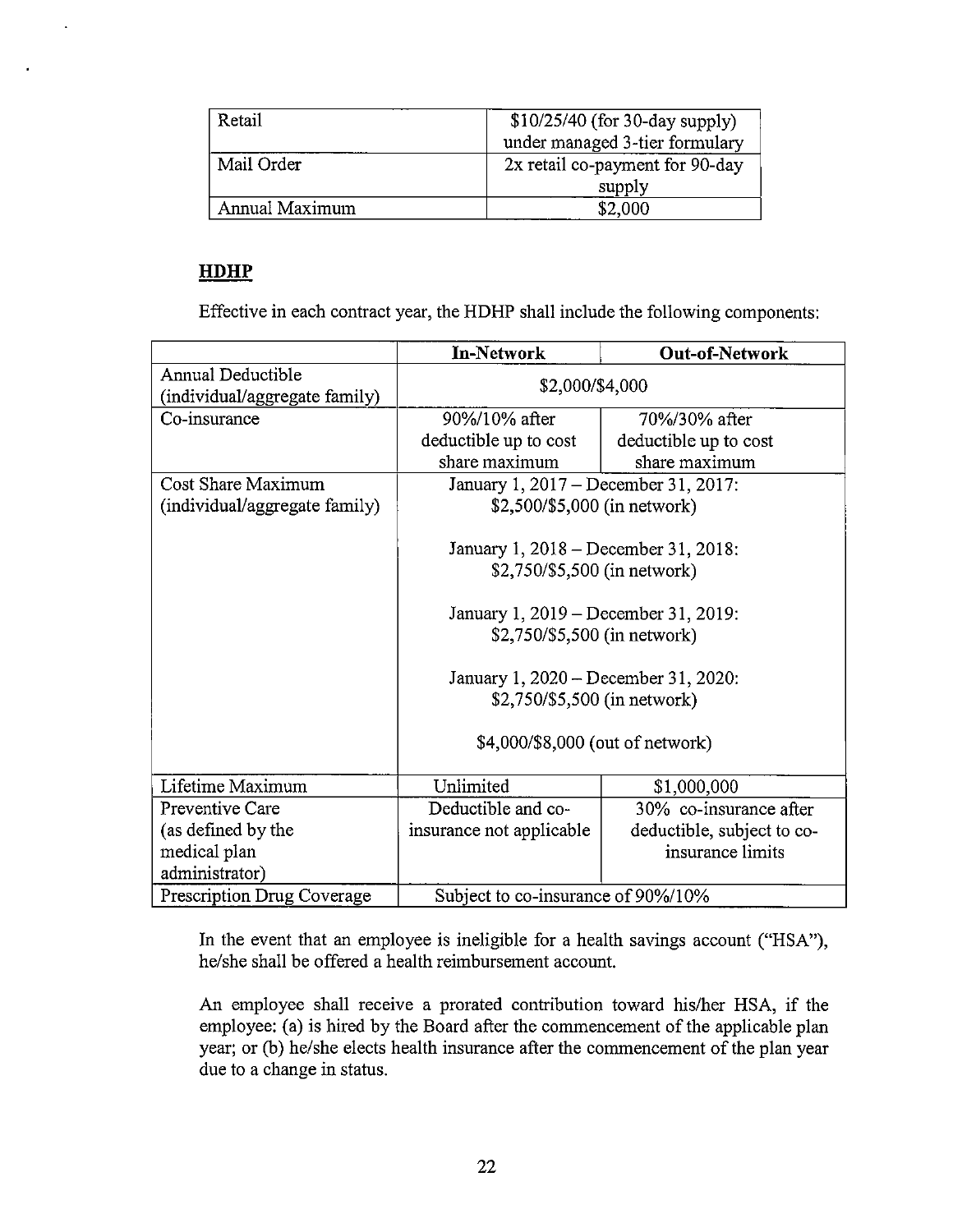| Retail         | $$10/25/40$ (for 30-day supply) |
|----------------|---------------------------------|
|                | under managed 3-tier formulary  |
| Mail Order     | 2x retail co-payment for 90-day |
|                | supply                          |
| Annual Maximum | \$2,000                         |

# **HDHP**

 $\ddot{\phantom{a}}$ 

Effective in each contract year, the HDHP shall include the following components:

|                                                    | In-Network                           | <b>Out-of-Network</b>      |  |
|----------------------------------------------------|--------------------------------------|----------------------------|--|
| Annual Deductible<br>(individual/aggregate family) | \$2,000/\$4,000                      |                            |  |
| Co-insurance                                       | 90%/10% after                        | 70%/30% after              |  |
|                                                    | deductible up to cost                | deductible up to cost      |  |
|                                                    | share maximum                        | share maximum              |  |
| Cost Share Maximum                                 | January 1, 2017 – December 31, 2017: |                            |  |
| (individual/aggregate family)                      | \$2,500/\$5,000 (in network)         |                            |  |
|                                                    |                                      |                            |  |
|                                                    | January 1, 2018 – December 31, 2018: |                            |  |
|                                                    | \$2,750/\$5,500 (in network)         |                            |  |
|                                                    |                                      |                            |  |
|                                                    | January 1, 2019 – December 31, 2019: |                            |  |
|                                                    | \$2,750/\$5,500 (in network)         |                            |  |
|                                                    |                                      |                            |  |
|                                                    | January 1, 2020 – December 31, 2020: |                            |  |
|                                                    | \$2,750/\$5,500 (in network)         |                            |  |
|                                                    | \$4,000/\$8,000 (out of network)     |                            |  |
|                                                    |                                      |                            |  |
|                                                    |                                      |                            |  |
| Lifetime Maximum                                   | Unlimited                            | \$1,000,000                |  |
| Preventive Care                                    | Deductible and co-                   | $30\%$ co-insurance after  |  |
| (as defined by the                                 | insurance not applicable             | deductible, subject to co- |  |
| medical plan                                       |                                      | insurance limits           |  |
| administrator)                                     |                                      |                            |  |
| Prescription Drug Coverage                         | Subject to co-insurance of 90%/10%   |                            |  |

In the event that an employee is ineligible for a health savings account ("HSA"), he/she shall be offered a health reimbursement account.

An employee shall receive a prorated contribution toward his/her HSA, if the employee: (a) is hired by the Board after the commencement of the applicable plan year; or (b) he/she elects health insurance after the commencement of the plan year due to a change in status.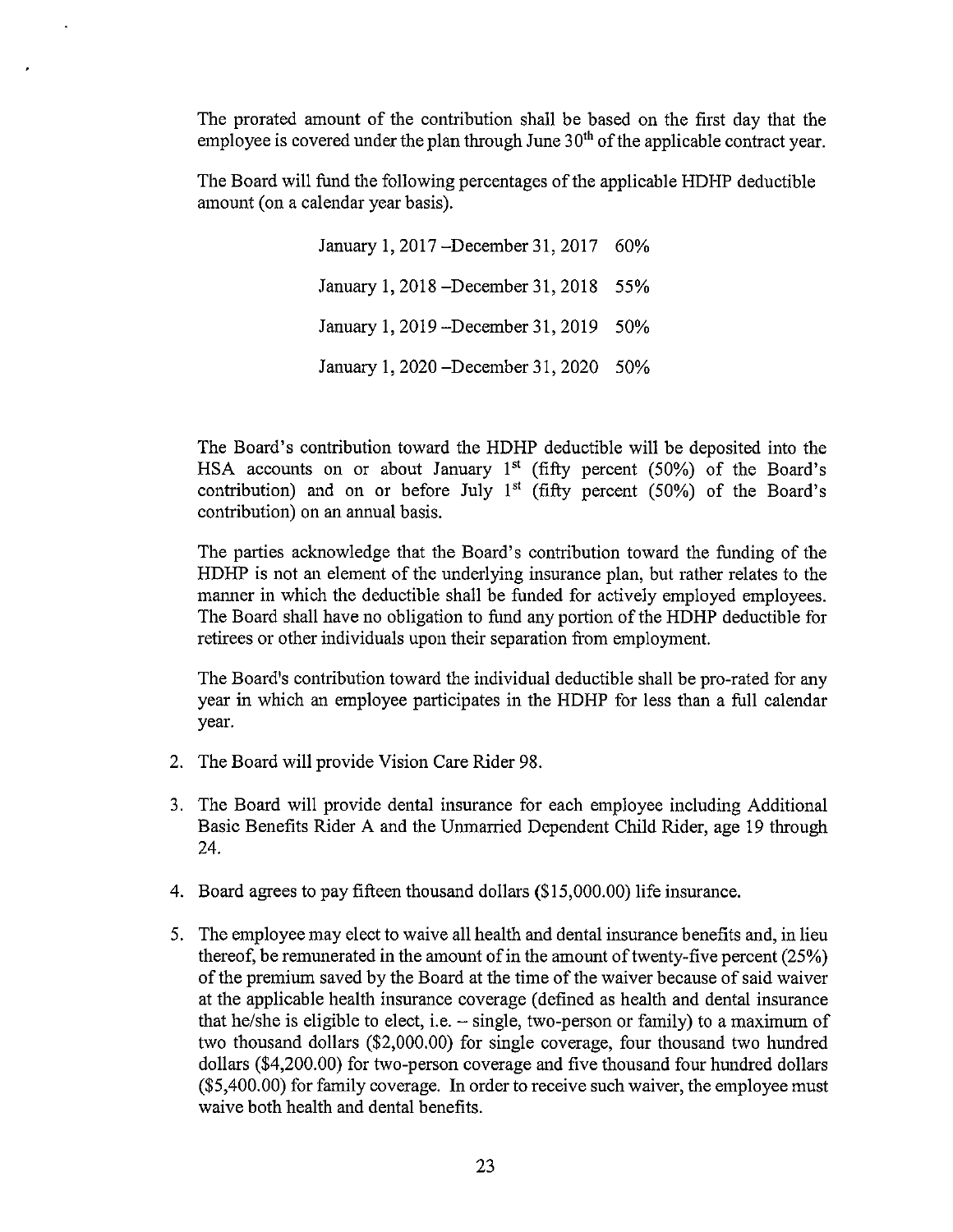The prorated amount of the contribution shall be based on the first day that the employee is covered under the plan through June  $30<sup>th</sup>$  of the applicable contract year.

The Board will fund the following percentages ofthe applicable HDHP deductible amount (on a calendar year basis).

> January I, 2017 -December 31, 2017 60% January 1, 2018 -December 31, 2018 55% January 1, 2019 -December 31, 2019 50% January 1, 2020 -December 31, 2020 50%

The Board's contribution toward the HDHP deductible will be deposited into the HSA accounts on or about January  $1<sup>st</sup>$  (fifty percent (50%) of the Board's contribution) and on or before July 1<sup>st</sup> (fifty percent  $(50\%)$  of the Board's contribution) on an annual basis.

The parties acknowledge that the Board's contribution toward the funding of the HDHP is not an element of the underlying insurance plan, but rather relates to the manner in which the deductible shall be funded for actively employed employees. The Board shall have no obligation to fund any portion of the HDHP deductible for retirees or other individuals upon their separation from employment.

The Board's contribution toward the individual deductible shall be pro-rated for any year in which an employee participates in the HDHP for less than a full calendar year.

- 2. The Board will provide Vision Care Rider 98.
- 3. The Board will provide dental insurance for each employee including Additional Basic Benefits Rider A and the Unmarried Dependent Child Rider, age 19 through 24.
- 4. Board agrees to pay fifteen thousand dollars (\$15,000.00) life insurance.
- 5. The employee may elect to waive all health and dental insurance benefits and, in lieu thereof, be remunerated in the amount of in the amount of twenty-five percent (25%) of the premium saved by the Board at the time of the waiver because of said waiver at the applicable health insurance coverage (defined as health and dental insurance that he/she is eligible to elect, i.e.  $-$  single, two-person or family) to a maximum of two thousand dollars (\$2,000.00) for single coverage, four thousand two hundred dollars (\$4,200.00) for two-person coverage and five thousand four hundred dollars (\$5,400.00) for family coverage. In order to receive such waiver, the employee must waive both health and dental benefits.